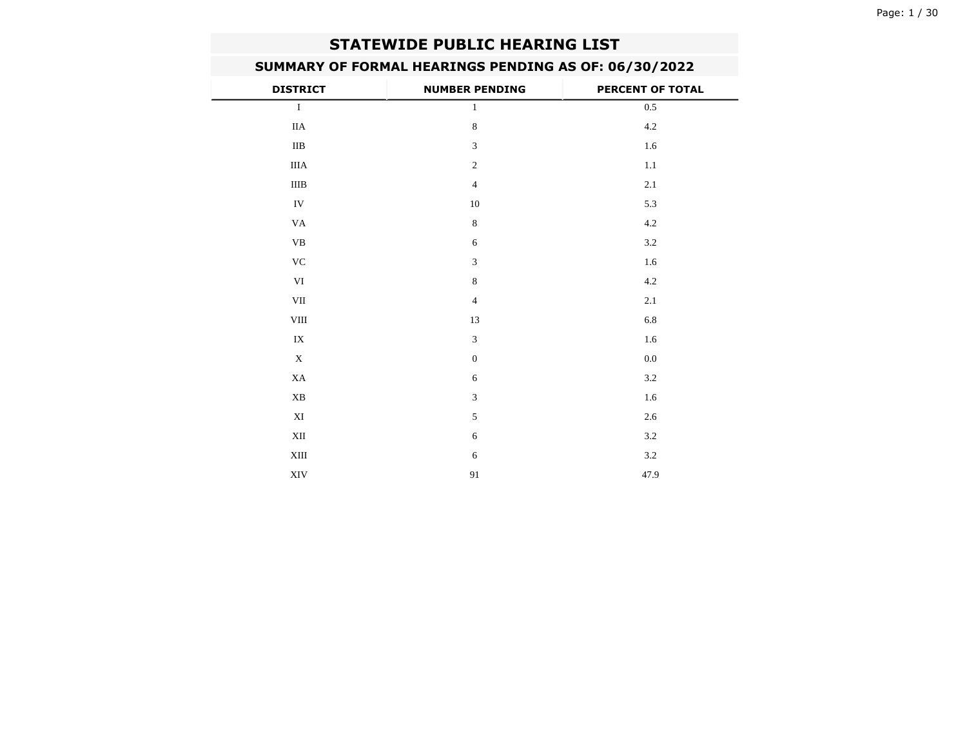# **STATEWIDE PUBLIC HEARING LIST**

—

# **SUMMARY OF FORMAL HEARINGS PENDING AS OF: 06/30/2022**

| <b>DISTRICT</b>           | <b>NUMBER PENDING</b> | PERCENT OF TOTAL |
|---------------------------|-----------------------|------------------|
| $\bf{I}$                  | $\mathbf{1}$          | $0.5\,$          |
| $\rm IIA$                 | $\,8\,$               | $4.2\,$          |
| $\rm IIB$                 | $\overline{3}$        | $1.6\,$          |
| $\rm IIIA$                | $\overline{2}$        | $1.1\,$          |
| $\rm IIIB$                | $\overline{4}$        | 2.1              |
| IV                        | 10                    | 5.3              |
| VA                        | $\,8\,$               | 4.2              |
| $\mathbf{V}\mathbf{B}$    | $\sqrt{6}$            | $3.2\,$          |
| $\rm VC$                  | $\overline{3}$        | 1.6              |
| VI                        | $\,8\,$               | $4.2\,$          |
| VII                       | $\overline{4}$        | 2.1              |
| ${\rm VIII}$              | 13                    | $6.8\,$          |
| ${\it IX}$                | $\overline{3}$        | $1.6\,$          |
| $\mathbf X$               | $\mathbf{0}$          | $0.0\,$          |
| XA                        | $\sqrt{6}$            | $3.2\,$          |
| XB                        | $\overline{3}$        | $1.6\,$          |
| $\mathbf{X}\mathbf{I}$    | 5                     | 2.6              |
| XII                       | $\sqrt{6}$            | $3.2\,$          |
| $\mbox{XIII}$             | $\sqrt{6}$            | $3.2\,$          |
| $\ensuremath{\text{XIV}}$ | 91                    | 47.9             |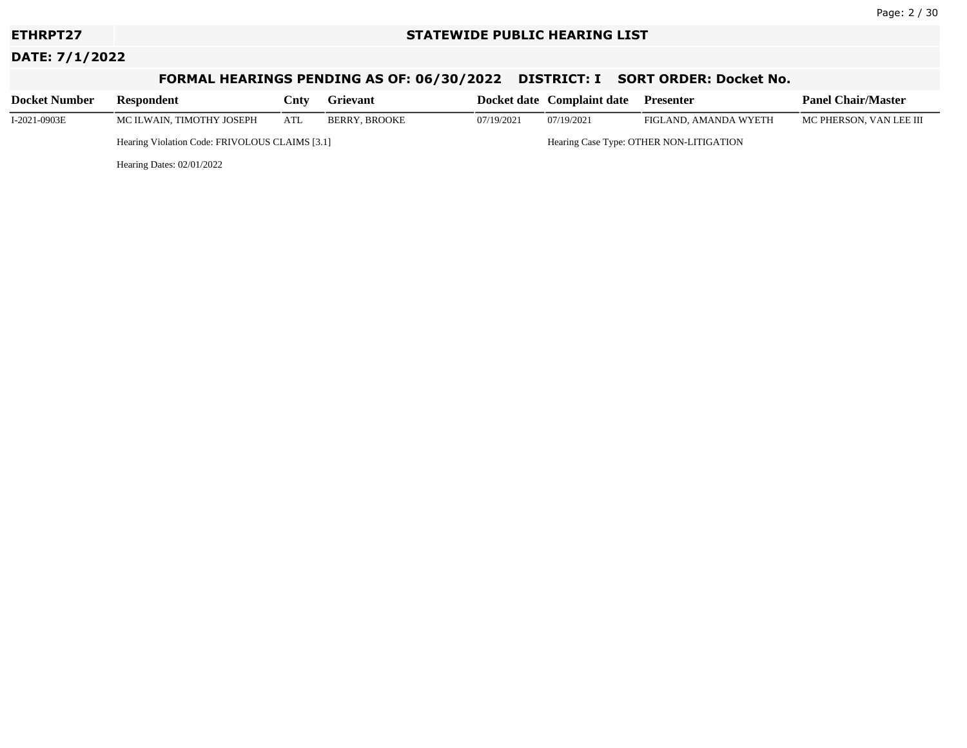### **ETHRPT27 STATEWIDE PUBLIC HEARING LIST**

# **DATE: 7/1/2022**

# **FORMAL HEARINGS PENDING AS OF: 06/30/2022 DISTRICT: I SORT ORDER: Docket No.**

| <b>Docket Number</b> | Respondent                                     | Cntv | <b>Grievant</b> |            | Docket date Complaint date              | <b>Presenter</b>      | <b>Panel Chair/Master</b> |
|----------------------|------------------------------------------------|------|-----------------|------------|-----------------------------------------|-----------------------|---------------------------|
| I-2021-0903E         | MC ILWAIN, TIMOTHY JOSEPH                      | ATL  | BERRY. BROOKE   | 07/19/2021 | 07/19/2021                              | FIGLAND. AMANDA WYETH | MC PHERSON, VAN LEE III   |
|                      | Hearing Violation Code: FRIVOLOUS CLAIMS [3.1] |      |                 |            | Hearing Case Type: OTHER NON-LITIGATION |                       |                           |
|                      | Hearing Dates: $02/01/2022$                    |      |                 |            |                                         |                       |                           |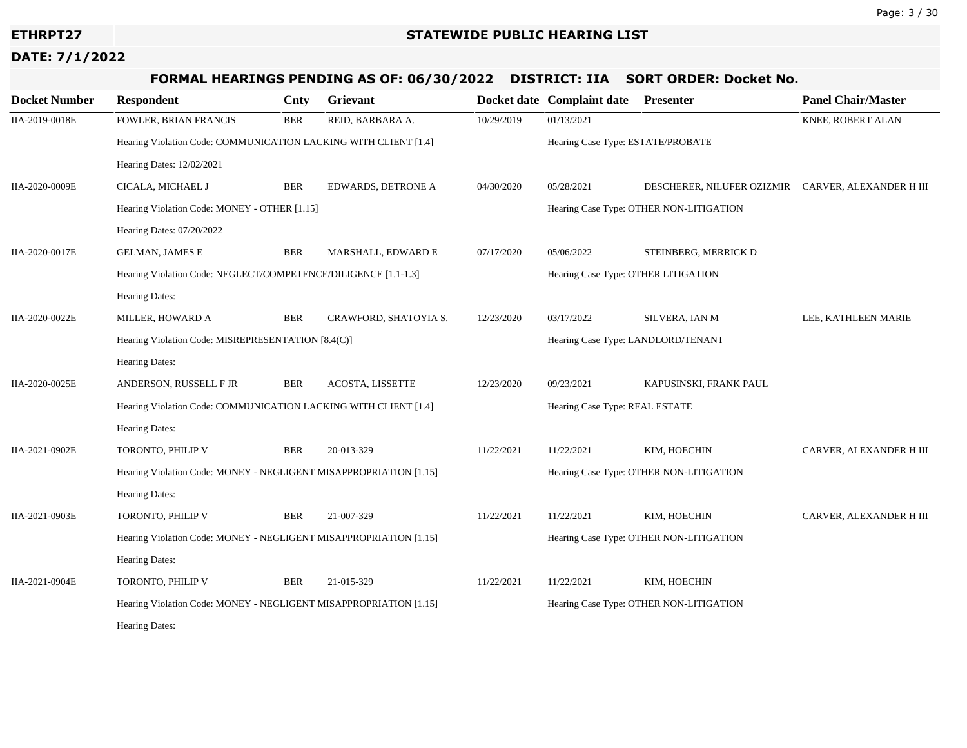# **FORMAL HEARINGS PENDING AS OF: 06/30/2022 DISTRICT: IIA SORT ORDER: Docket No.**

| <b>Docket Number</b> | <b>Respondent</b>                                                 | Cnty       | Grievant              |            | Docket date Complaint date Presenter    |                                                    | <b>Panel Chair/Master</b> |  |
|----------------------|-------------------------------------------------------------------|------------|-----------------------|------------|-----------------------------------------|----------------------------------------------------|---------------------------|--|
| IIA-2019-0018E       | FOWLER, BRIAN FRANCIS                                             | <b>BER</b> | REID, BARBARA A.      | 10/29/2019 | 01/13/2021                              |                                                    | KNEE, ROBERT ALAN         |  |
|                      | Hearing Violation Code: COMMUNICATION LACKING WITH CLIENT [1.4]   |            |                       |            | Hearing Case Type: ESTATE/PROBATE       |                                                    |                           |  |
|                      | Hearing Dates: 12/02/2021                                         |            |                       |            |                                         |                                                    |                           |  |
| IIA-2020-0009E       | CICALA, MICHAEL J                                                 | <b>BER</b> | EDWARDS, DETRONE A    | 04/30/2020 | 05/28/2021                              | DESCHERER, NILUFER OZIZMIR CARVER, ALEXANDER H III |                           |  |
|                      | Hearing Violation Code: MONEY - OTHER [1.15]                      |            |                       |            | Hearing Case Type: OTHER NON-LITIGATION |                                                    |                           |  |
|                      | Hearing Dates: 07/20/2022                                         |            |                       |            |                                         |                                                    |                           |  |
| IIA-2020-0017E       | <b>GELMAN, JAMES E</b>                                            | <b>BER</b> | MARSHALL, EDWARD E    | 07/17/2020 | 05/06/2022                              | STEINBERG, MERRICK D                               |                           |  |
|                      | Hearing Violation Code: NEGLECT/COMPETENCE/DILIGENCE [1.1-1.3]    |            |                       |            | Hearing Case Type: OTHER LITIGATION     |                                                    |                           |  |
|                      | Hearing Dates:                                                    |            |                       |            |                                         |                                                    |                           |  |
| IIA-2020-0022E       | MILLER, HOWARD A                                                  | <b>BER</b> | CRAWFORD, SHATOYIA S. | 12/23/2020 | 03/17/2022                              | SILVERA, IAN M                                     | LEE, KATHLEEN MARIE       |  |
|                      | Hearing Violation Code: MISREPRESENTATION [8.4(C)]                |            |                       |            | Hearing Case Type: LANDLORD/TENANT      |                                                    |                           |  |
|                      | Hearing Dates:                                                    |            |                       |            |                                         |                                                    |                           |  |
| IIA-2020-0025E       | ANDERSON, RUSSELL F JR                                            | <b>BER</b> | ACOSTA, LISSETTE      | 12/23/2020 | 09/23/2021                              | KAPUSINSKI, FRANK PAUL                             |                           |  |
|                      | Hearing Violation Code: COMMUNICATION LACKING WITH CLIENT [1.4]   |            |                       |            | Hearing Case Type: REAL ESTATE          |                                                    |                           |  |
|                      | Hearing Dates:                                                    |            |                       |            |                                         |                                                    |                           |  |
| IIA-2021-0902E       | TORONTO, PHILIP V                                                 | <b>BER</b> | 20-013-329            | 11/22/2021 | 11/22/2021                              | KIM, HOECHIN                                       | CARVER, ALEXANDER H III   |  |
|                      | Hearing Violation Code: MONEY - NEGLIGENT MISAPPROPRIATION [1.15] |            |                       |            | Hearing Case Type: OTHER NON-LITIGATION |                                                    |                           |  |
|                      | <b>Hearing Dates:</b>                                             |            |                       |            |                                         |                                                    |                           |  |
| IIA-2021-0903E       | TORONTO, PHILIP V                                                 | <b>BER</b> | 21-007-329            | 11/22/2021 | 11/22/2021                              | KIM, HOECHIN                                       | CARVER, ALEXANDER H III   |  |
|                      | Hearing Violation Code: MONEY - NEGLIGENT MISAPPROPRIATION [1.15] |            |                       |            | Hearing Case Type: OTHER NON-LITIGATION |                                                    |                           |  |
|                      | <b>Hearing Dates:</b>                                             |            |                       |            |                                         |                                                    |                           |  |
| IIA-2021-0904E       | TORONTO, PHILIP V                                                 | <b>BER</b> | 21-015-329            | 11/22/2021 | 11/22/2021                              | KIM, HOECHIN                                       |                           |  |
|                      | Hearing Violation Code: MONEY - NEGLIGENT MISAPPROPRIATION [1.15] |            |                       |            | Hearing Case Type: OTHER NON-LITIGATION |                                                    |                           |  |
|                      | <b>Hearing Dates:</b>                                             |            |                       |            |                                         |                                                    |                           |  |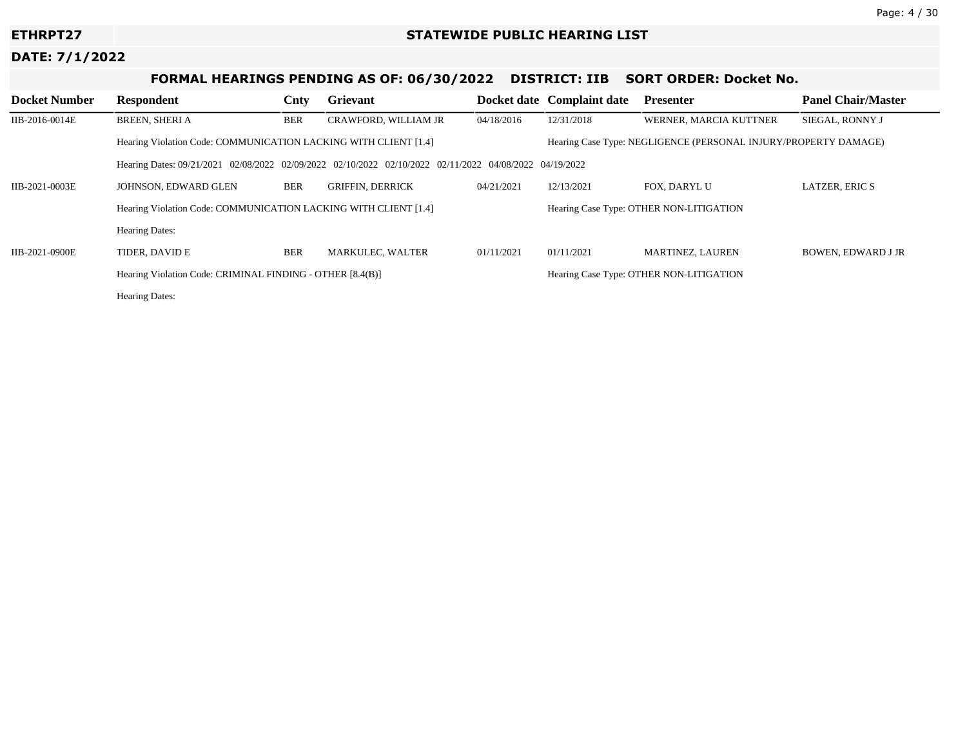# **FORMAL HEARINGS PENDING AS OF: 06/30/2022 DISTRICT: IIB SORT ORDER: Docket No.**

| <b>Docket Number</b> | <b>Respondent</b>                                                                                      | Cnty       | Grievant                |                                         | Docket date Complaint date                                      | <b>Presenter</b>        | <b>Panel Chair/Master</b> |  |  |  |
|----------------------|--------------------------------------------------------------------------------------------------------|------------|-------------------------|-----------------------------------------|-----------------------------------------------------------------|-------------------------|---------------------------|--|--|--|
| IIB-2016-0014E       | <b>BREEN, SHERI A</b>                                                                                  | <b>BER</b> | CRAWFORD, WILLIAM JR    | 04/18/2016                              | 12/31/2018                                                      | WERNER, MARCIA KUTTNER  | SIEGAL. RONNY J           |  |  |  |
|                      | Hearing Violation Code: COMMUNICATION LACKING WITH CLIENT [1.4]                                        |            |                         |                                         | Hearing Case Type: NEGLIGENCE (PERSONAL INJURY/PROPERTY DAMAGE) |                         |                           |  |  |  |
|                      | Hearing Dates: 09/21/2021 02/08/2022 02/09/2022 02/10/2022 02/10/2022 02/11/2022 04/08/2022 04/19/2022 |            |                         |                                         |                                                                 |                         |                           |  |  |  |
| IIB-2021-0003E       | JOHNSON, EDWARD GLEN                                                                                   | <b>BER</b> | <b>GRIFFIN, DERRICK</b> | 04/21/2021                              | 12/13/2021                                                      | FOX, DARYL U            | <b>LATZER, ERIC S</b>     |  |  |  |
|                      | Hearing Violation Code: COMMUNICATION LACKING WITH CLIENT [1.4]                                        |            |                         |                                         | Hearing Case Type: OTHER NON-LITIGATION                         |                         |                           |  |  |  |
|                      | <b>Hearing Dates:</b>                                                                                  |            |                         |                                         |                                                                 |                         |                           |  |  |  |
| IIB-2021-0900E       | TIDER. DAVID E                                                                                         | <b>BER</b> | <b>MARKULEC, WALTER</b> | 01/11/2021                              | 01/11/2021                                                      | <b>MARTINEZ, LAUREN</b> | <b>BOWEN, EDWARD J JR</b> |  |  |  |
|                      | Hearing Violation Code: CRIMINAL FINDING - OTHER [8.4(B)]                                              |            |                         | Hearing Case Type: OTHER NON-LITIGATION |                                                                 |                         |                           |  |  |  |
|                      | <b>Hearing Dates:</b>                                                                                  |            |                         |                                         |                                                                 |                         |                           |  |  |  |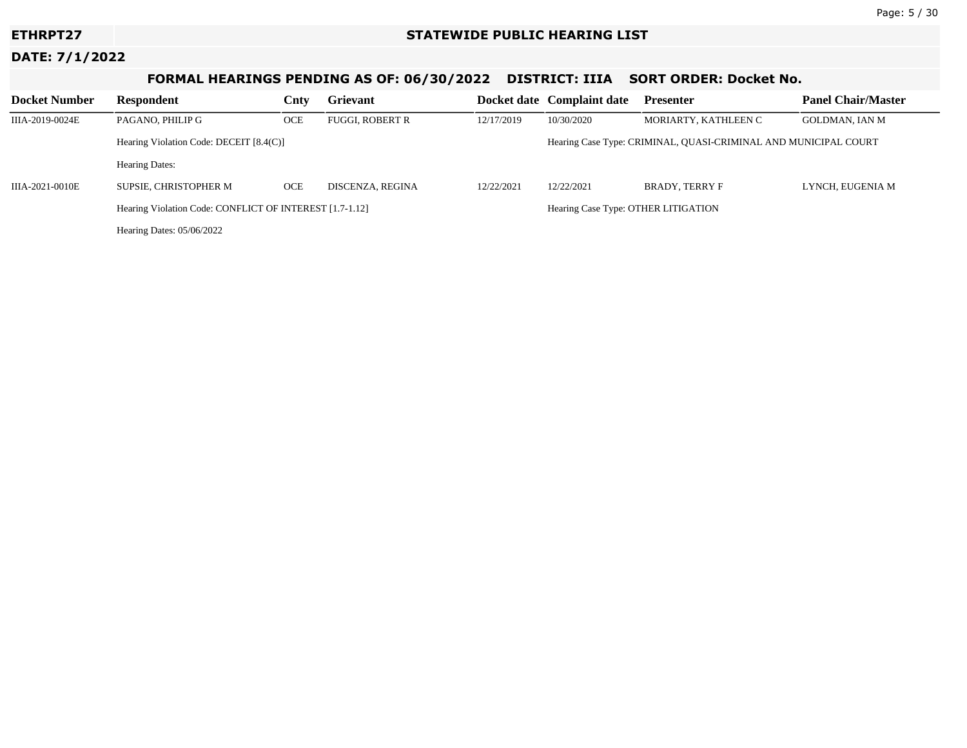# **FORMAL HEARINGS PENDING AS OF: 06/30/2022 DISTRICT: IIIA SORT ORDER: Docket No.**

| <b>Docket Number</b> | Respondent                                              | Cnty       | <b>Grievant</b>  |                                                                 | Docket date Complaint date | <b>Presenter</b>      | <b>Panel Chair/Master</b> |
|----------------------|---------------------------------------------------------|------------|------------------|-----------------------------------------------------------------|----------------------------|-----------------------|---------------------------|
| IIIA-2019-0024E      | PAGANO, PHILIP G                                        | <b>OCE</b> | FUGGI, ROBERT R  | 12/17/2019                                                      | 10/30/2020                 | MORIARTY, KATHLEEN C  | GOLDMAN, IAN M            |
|                      | Hearing Violation Code: DECEIT [8.4(C)]                 |            |                  | Hearing Case Type: CRIMINAL, QUASI-CRIMINAL AND MUNICIPAL COURT |                            |                       |                           |
|                      | <b>Hearing Dates:</b>                                   |            |                  |                                                                 |                            |                       |                           |
| IIIA-2021-0010E      | SUPSIE. CHRISTOPHER M                                   | <b>OCE</b> | DISCENZA, REGINA | 12/22/2021                                                      | 12/22/2021                 | <b>BRADY. TERRY F</b> | LYNCH, EUGENIA M          |
|                      | Hearing Violation Code: CONFLICT OF INTEREST [1.7-1.12] |            |                  | Hearing Case Type: OTHER LITIGATION                             |                            |                       |                           |
|                      | Hearing Dates: 05/06/2022                               |            |                  |                                                                 |                            |                       |                           |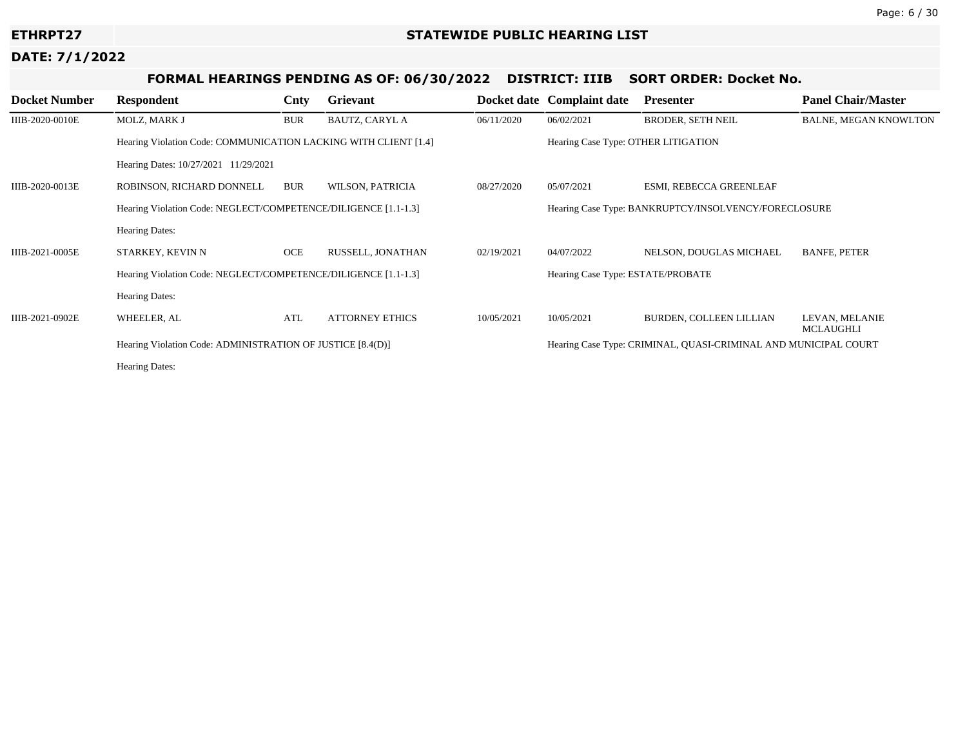# **FORMAL HEARINGS PENDING AS OF: 06/30/2022 DISTRICT: IIIB SORT ORDER: Docket No.**

| <b>Docket Number</b> | <b>Respondent</b>                                               | Cnty       | Grievant               |            | Docket date Complaint date                           | <b>Presenter</b>                                                | <b>Panel Chair/Master</b>   |  |
|----------------------|-----------------------------------------------------------------|------------|------------------------|------------|------------------------------------------------------|-----------------------------------------------------------------|-----------------------------|--|
| IIIB-2020-0010E      | MOLZ, MARK J                                                    | <b>BUR</b> | <b>BAUTZ, CARYL A</b>  | 06/11/2020 | 06/02/2021                                           | <b>BRODER, SETH NEIL</b>                                        | BALNE, MEGAN KNOWLTON       |  |
|                      | Hearing Violation Code: COMMUNICATION LACKING WITH CLIENT [1.4] |            |                        |            | Hearing Case Type: OTHER LITIGATION                  |                                                                 |                             |  |
|                      | Hearing Dates: 10/27/2021 11/29/2021                            |            |                        |            |                                                      |                                                                 |                             |  |
| IIIB-2020-0013E      | ROBINSON, RICHARD DONNELL                                       | <b>BUR</b> | WILSON, PATRICIA       | 08/27/2020 | 05/07/2021                                           | ESMI, REBECCA GREENLEAF                                         |                             |  |
|                      | Hearing Violation Code: NEGLECT/COMPETENCE/DILIGENCE [1.1-1.3]  |            |                        |            | Hearing Case Type: BANKRUPTCY/INSOLVENCY/FORECLOSURE |                                                                 |                             |  |
|                      | <b>Hearing Dates:</b>                                           |            |                        |            |                                                      |                                                                 |                             |  |
| IIIB-2021-0005E      | STARKEY, KEVIN N                                                | OCE        | RUSSELL, JONATHAN      | 02/19/2021 | 04/07/2022                                           | NELSON, DOUGLAS MICHAEL                                         | <b>BANFE, PETER</b>         |  |
|                      | Hearing Violation Code: NEGLECT/COMPETENCE/DILIGENCE [1.1-1.3]  |            |                        |            | Hearing Case Type: ESTATE/PROBATE                    |                                                                 |                             |  |
|                      | <b>Hearing Dates:</b>                                           |            |                        |            |                                                      |                                                                 |                             |  |
| IIIB-2021-0902E      | WHEELER, AL                                                     | ATL        | <b>ATTORNEY ETHICS</b> | 10/05/2021 | 10/05/2021                                           | BURDEN, COLLEEN LILLIAN                                         | LEVAN, MELANIE<br>MCLAUGHLI |  |
|                      | Hearing Violation Code: ADMINISTRATION OF JUSTICE [8.4(D)]      |            |                        |            |                                                      | Hearing Case Type: CRIMINAL, QUASI-CRIMINAL AND MUNICIPAL COURT |                             |  |
|                      | <b>Hearing Dates:</b>                                           |            |                        |            |                                                      |                                                                 |                             |  |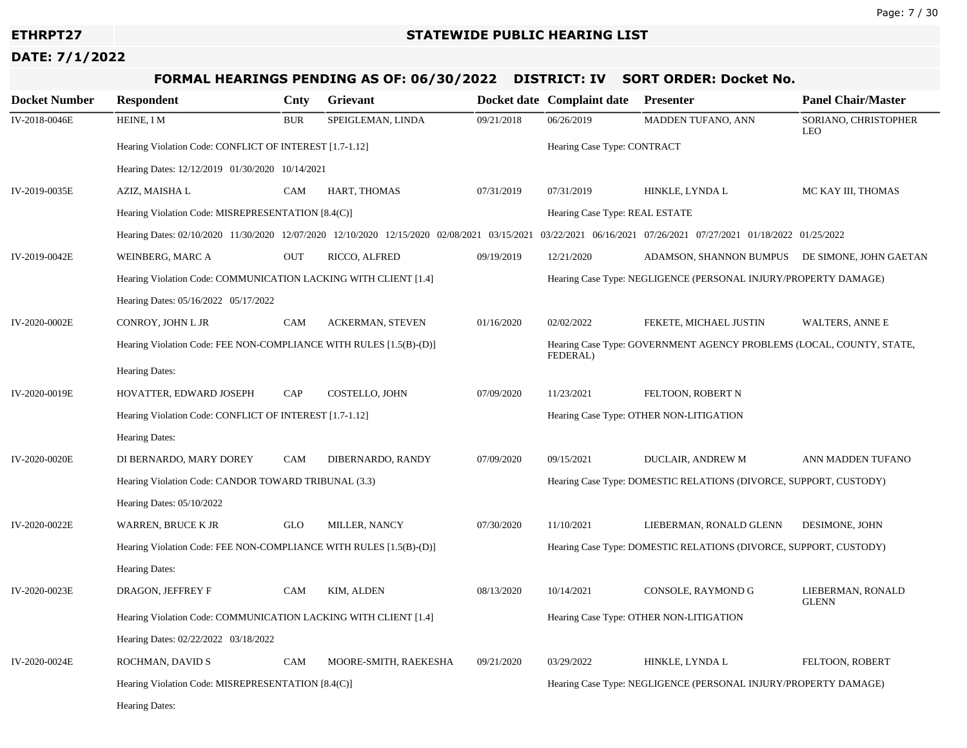# **FORMAL HEARINGS PENDING AS OF: 06/30/2022 DISTRICT: IV SORT ORDER: Docket No.**

| <b>Docket Number</b> | <b>Respondent</b>                                                                           | Cnty       | Grievant                |                                                                                  | Docket date Complaint date                                        | Presenter                                                         | <b>Panel Chair/Master</b>          |  |  |
|----------------------|---------------------------------------------------------------------------------------------|------------|-------------------------|----------------------------------------------------------------------------------|-------------------------------------------------------------------|-------------------------------------------------------------------|------------------------------------|--|--|
| IV-2018-0046E        | HEINE, I M                                                                                  | <b>BUR</b> | SPEIGLEMAN, LINDA       | 09/21/2018                                                                       | 06/26/2019                                                        | MADDEN TUFANO, ANN                                                | SORIANO, CHRISTOPHER<br><b>LEO</b> |  |  |
|                      | Hearing Violation Code: CONFLICT OF INTEREST [1.7-1.12]                                     |            |                         |                                                                                  | Hearing Case Type: CONTRACT                                       |                                                                   |                                    |  |  |
|                      | Hearing Dates: 12/12/2019 01/30/2020 10/14/2021                                             |            |                         |                                                                                  |                                                                   |                                                                   |                                    |  |  |
| IV-2019-0035E        | AZIZ, MAISHA L                                                                              | <b>CAM</b> | HART, THOMAS            | 07/31/2019                                                                       | 07/31/2019                                                        | HINKLE, LYNDA L                                                   | MC KAY III, THOMAS                 |  |  |
|                      | Hearing Violation Code: MISREPRESENTATION [8.4(C)]                                          |            |                         |                                                                                  |                                                                   | Hearing Case Type: REAL ESTATE                                    |                                    |  |  |
|                      | Hearing Dates: 02/10/2020 11/30/2020 12/07/2020 12/10/2020 12/15/2020 02/08/2021 03/15/2021 |            |                         |                                                                                  | 03/22/2021 06/16/2021 07/26/2021 07/27/2021 01/18/2022 01/25/2022 |                                                                   |                                    |  |  |
| IV-2019-0042E        | WEINBERG, MARC A                                                                            | <b>OUT</b> | RICCO, ALFRED           | 09/19/2019                                                                       | 12/21/2020                                                        | ADAMSON, SHANNON BUMPUS DE SIMONE, JOHN GAETAN                    |                                    |  |  |
|                      | Hearing Violation Code: COMMUNICATION LACKING WITH CLIENT [1.4]                             |            |                         |                                                                                  | Hearing Case Type: NEGLIGENCE (PERSONAL INJURY/PROPERTY DAMAGE)   |                                                                   |                                    |  |  |
|                      | Hearing Dates: 05/16/2022 05/17/2022                                                        |            |                         |                                                                                  |                                                                   |                                                                   |                                    |  |  |
| IV-2020-0002E        | CONROY, JOHN L JR                                                                           | <b>CAM</b> | <b>ACKERMAN, STEVEN</b> | 01/16/2020                                                                       | 02/02/2022                                                        | FEKETE, MICHAEL JUSTIN                                            | <b>WALTERS, ANNE E</b>             |  |  |
|                      | Hearing Violation Code: FEE NON-COMPLIANCE WITH RULES [1.5(B)-(D)]                          |            |                         | Hearing Case Type: GOVERNMENT AGENCY PROBLEMS (LOCAL, COUNTY, STATE,<br>FEDERAL) |                                                                   |                                                                   |                                    |  |  |
|                      | Hearing Dates:                                                                              |            |                         |                                                                                  |                                                                   |                                                                   |                                    |  |  |
| IV-2020-0019E        | HOVATTER, EDWARD JOSEPH                                                                     | CAP        | COSTELLO, JOHN          | 07/09/2020                                                                       | 11/23/2021                                                        | FELTOON, ROBERT N                                                 |                                    |  |  |
|                      | Hearing Violation Code: CONFLICT OF INTEREST [1.7-1.12]                                     |            |                         |                                                                                  |                                                                   | Hearing Case Type: OTHER NON-LITIGATION                           |                                    |  |  |
|                      | Hearing Dates:                                                                              |            |                         |                                                                                  |                                                                   |                                                                   |                                    |  |  |
| IV-2020-0020E        | DI BERNARDO, MARY DOREY                                                                     | CAM        | DIBERNARDO, RANDY       | 07/09/2020                                                                       | 09/15/2021                                                        | DUCLAIR, ANDREW M                                                 | ANN MADDEN TUFANO                  |  |  |
|                      | Hearing Violation Code: CANDOR TOWARD TRIBUNAL (3.3)                                        |            |                         |                                                                                  |                                                                   | Hearing Case Type: DOMESTIC RELATIONS (DIVORCE, SUPPORT, CUSTODY) |                                    |  |  |
|                      | Hearing Dates: 05/10/2022                                                                   |            |                         |                                                                                  |                                                                   |                                                                   |                                    |  |  |
| IV-2020-0022E        | <b>WARREN, BRUCE K JR</b>                                                                   | <b>GLO</b> | MILLER, NANCY           | 07/30/2020                                                                       | 11/10/2021                                                        | LIEBERMAN, RONALD GLENN                                           | DESIMONE, JOHN                     |  |  |
|                      | Hearing Violation Code: FEE NON-COMPLIANCE WITH RULES [1.5(B)-(D)]                          |            |                         |                                                                                  |                                                                   | Hearing Case Type: DOMESTIC RELATIONS (DIVORCE, SUPPORT, CUSTODY) |                                    |  |  |
|                      | Hearing Dates:                                                                              |            |                         |                                                                                  |                                                                   |                                                                   |                                    |  |  |
| IV-2020-0023E        | DRAGON, JEFFREY F                                                                           | CAM        | KIM, ALDEN              | 08/13/2020                                                                       | 10/14/2021                                                        | CONSOLE, RAYMOND G                                                | LIEBERMAN, RONALD<br><b>GLENN</b>  |  |  |
|                      | Hearing Violation Code: COMMUNICATION LACKING WITH CLIENT [1.4]                             |            |                         |                                                                                  | Hearing Case Type: OTHER NON-LITIGATION                           |                                                                   |                                    |  |  |
|                      | Hearing Dates: 02/22/2022 03/18/2022                                                        |            |                         |                                                                                  |                                                                   |                                                                   |                                    |  |  |
| IV-2020-0024E        | ROCHMAN, DAVID S                                                                            | CAM        | MOORE-SMITH, RAEKESHA   | 09/21/2020                                                                       | 03/29/2022                                                        | HINKLE, LYNDA L                                                   | FELTOON, ROBERT                    |  |  |
|                      | Hearing Violation Code: MISREPRESENTATION [8.4(C)]                                          |            |                         |                                                                                  |                                                                   | Hearing Case Type: NEGLIGENCE (PERSONAL INJURY/PROPERTY DAMAGE)   |                                    |  |  |
|                      | <b>Hearing Dates:</b>                                                                       |            |                         |                                                                                  |                                                                   |                                                                   |                                    |  |  |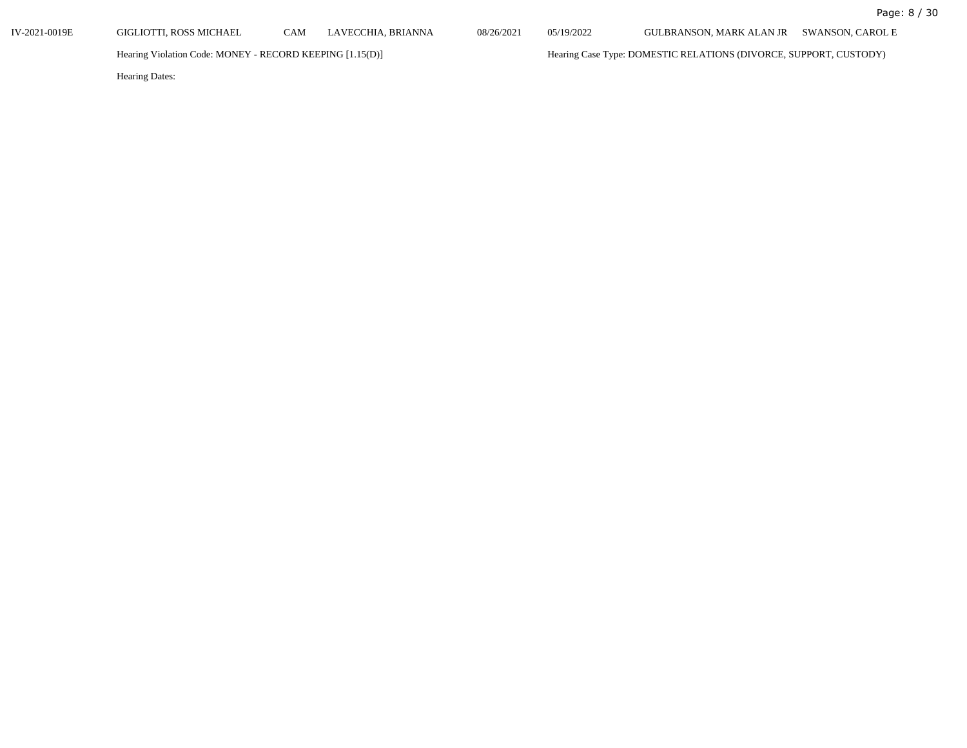IV-2021-0019E GIGLIOTTI, ROSS MICHAEL CAM LAVECCHIA, BRIANNA 08/26/2021 05/19/2022 GULBRANSON, MARK ALAN JR SWANSON, CAROL E

Hearing Violation Code: MONEY - RECORD KEEPING [1.15(D)] Hearing Case Type: DOMESTIC RELATIONS (DIVORCE, SUPPORT, CUSTODY)

Hearing Dates: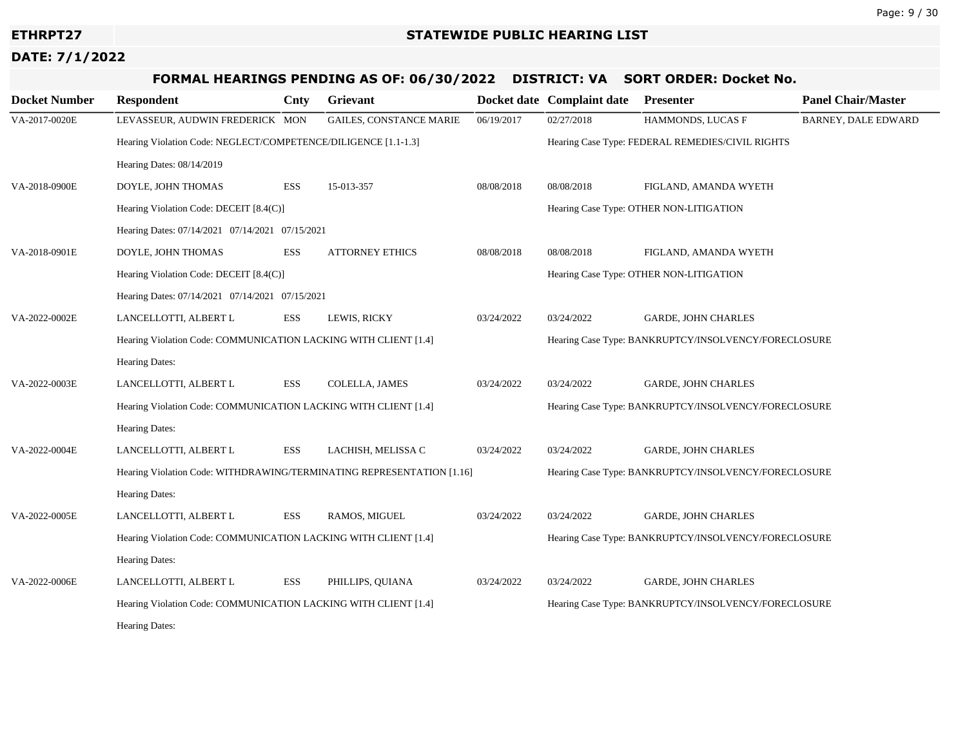# **FORMAL HEARINGS PENDING AS OF: 06/30/2022 DISTRICT: VA SORT ORDER: Docket No.**

| <b>Docket Number</b> | <b>Respondent</b>                                                     | Cnty       | Grievant                       |                                         | Docket date Complaint date                           | <b>Presenter</b>                                     | <b>Panel Chair/Master</b> |  |
|----------------------|-----------------------------------------------------------------------|------------|--------------------------------|-----------------------------------------|------------------------------------------------------|------------------------------------------------------|---------------------------|--|
| VA-2017-0020E        | LEVASSEUR, AUDWIN FREDERICK MON                                       |            | <b>GAILES, CONSTANCE MARIE</b> | 06/19/2017                              | 02/27/2018                                           | HAMMONDS, LUCAS F                                    | BARNEY, DALE EDWARD       |  |
|                      | Hearing Violation Code: NEGLECT/COMPETENCE/DILIGENCE [1.1-1.3]        |            |                                |                                         | Hearing Case Type: FEDERAL REMEDIES/CIVIL RIGHTS     |                                                      |                           |  |
|                      | Hearing Dates: 08/14/2019                                             |            |                                |                                         |                                                      |                                                      |                           |  |
| VA-2018-0900E        | DOYLE, JOHN THOMAS                                                    | ESS        | 15-013-357                     | 08/08/2018                              | 08/08/2018                                           | FIGLAND, AMANDA WYETH                                |                           |  |
|                      | Hearing Violation Code: DECEIT [8.4(C)]                               |            |                                | Hearing Case Type: OTHER NON-LITIGATION |                                                      |                                                      |                           |  |
|                      | Hearing Dates: 07/14/2021 07/14/2021 07/15/2021                       |            |                                |                                         |                                                      |                                                      |                           |  |
| VA-2018-0901E        | DOYLE, JOHN THOMAS                                                    | <b>ESS</b> | <b>ATTORNEY ETHICS</b>         | 08/08/2018                              | 08/08/2018                                           | FIGLAND, AMANDA WYETH                                |                           |  |
|                      | Hearing Violation Code: DECEIT [8.4(C)]                               |            |                                |                                         |                                                      | Hearing Case Type: OTHER NON-LITIGATION              |                           |  |
|                      | Hearing Dates: 07/14/2021 07/14/2021 07/15/2021                       |            |                                |                                         |                                                      |                                                      |                           |  |
| VA-2022-0002E        | LANCELLOTTI, ALBERT L                                                 | <b>ESS</b> | LEWIS, RICKY                   | 03/24/2022                              | 03/24/2022                                           | <b>GARDE, JOHN CHARLES</b>                           |                           |  |
|                      | Hearing Violation Code: COMMUNICATION LACKING WITH CLIENT [1.4]       |            |                                |                                         |                                                      | Hearing Case Type: BANKRUPTCY/INSOLVENCY/FORECLOSURE |                           |  |
|                      | Hearing Dates:                                                        |            |                                |                                         |                                                      |                                                      |                           |  |
| VA-2022-0003E        | LANCELLOTTI, ALBERT L                                                 | <b>ESS</b> | COLELLA, JAMES                 | 03/24/2022                              | 03/24/2022                                           | <b>GARDE, JOHN CHARLES</b>                           |                           |  |
|                      | Hearing Violation Code: COMMUNICATION LACKING WITH CLIENT [1.4]       |            |                                |                                         |                                                      | Hearing Case Type: BANKRUPTCY/INSOLVENCY/FORECLOSURE |                           |  |
|                      | Hearing Dates:                                                        |            |                                |                                         |                                                      |                                                      |                           |  |
| VA-2022-0004E        | LANCELLOTTI, ALBERT L                                                 | <b>ESS</b> | LACHISH, MELISSA C             | 03/24/2022                              | 03/24/2022                                           | <b>GARDE, JOHN CHARLES</b>                           |                           |  |
|                      | Hearing Violation Code: WITHDRAWING/TERMINATING REPRESENTATION [1.16] |            |                                |                                         | Hearing Case Type: BANKRUPTCY/INSOLVENCY/FORECLOSURE |                                                      |                           |  |
|                      | Hearing Dates:                                                        |            |                                |                                         |                                                      |                                                      |                           |  |
| VA-2022-0005E        | LANCELLOTTI, ALBERT L                                                 | <b>ESS</b> | RAMOS, MIGUEL                  | 03/24/2022                              | 03/24/2022                                           | <b>GARDE, JOHN CHARLES</b>                           |                           |  |
|                      | Hearing Violation Code: COMMUNICATION LACKING WITH CLIENT [1.4]       |            |                                |                                         | Hearing Case Type: BANKRUPTCY/INSOLVENCY/FORECLOSURE |                                                      |                           |  |
|                      | <b>Hearing Dates:</b>                                                 |            |                                |                                         |                                                      |                                                      |                           |  |
| VA-2022-0006E        | LANCELLOTTI, ALBERT L                                                 | <b>ESS</b> | PHILLIPS, QUIANA               | 03/24/2022                              | 03/24/2022                                           | <b>GARDE, JOHN CHARLES</b>                           |                           |  |
|                      | Hearing Violation Code: COMMUNICATION LACKING WITH CLIENT [1.4]       |            |                                |                                         |                                                      | Hearing Case Type: BANKRUPTCY/INSOLVENCY/FORECLOSURE |                           |  |
|                      | <b>Hearing Dates:</b>                                                 |            |                                |                                         |                                                      |                                                      |                           |  |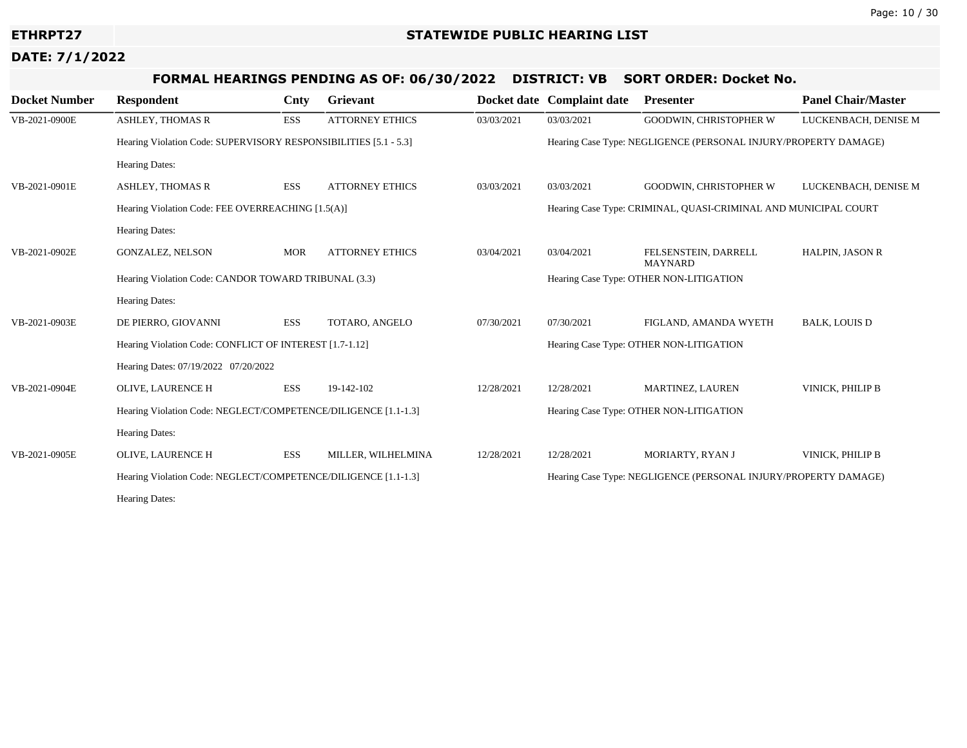# **FORMAL HEARINGS PENDING AS OF: 06/30/2022 DISTRICT: VB SORT ORDER: Docket No.**

| <b>Docket Number</b> | <b>Respondent</b>                                                | Cnty       | Grievant               |            | Docket date Complaint date                                      | <b>Presenter</b>                                                | <b>Panel Chair/Master</b> |  |
|----------------------|------------------------------------------------------------------|------------|------------------------|------------|-----------------------------------------------------------------|-----------------------------------------------------------------|---------------------------|--|
| VB-2021-0900E        | <b>ASHLEY, THOMAS R</b>                                          | ESS        | <b>ATTORNEY ETHICS</b> | 03/03/2021 | 03/03/2021                                                      | <b>GOODWIN, CHRISTOPHER W</b>                                   | LUCKENBACH, DENISE M      |  |
|                      | Hearing Violation Code: SUPERVISORY RESPONSIBILITIES [5.1 - 5.3] |            |                        |            |                                                                 | Hearing Case Type: NEGLIGENCE (PERSONAL INJURY/PROPERTY DAMAGE) |                           |  |
|                      | Hearing Dates:                                                   |            |                        |            |                                                                 |                                                                 |                           |  |
| VB-2021-0901E        | <b>ASHLEY, THOMAS R</b>                                          | ESS        | <b>ATTORNEY ETHICS</b> | 03/03/2021 | 03/03/2021                                                      | GOODWIN, CHRISTOPHER W                                          | LUCKENBACH, DENISE M      |  |
|                      | Hearing Violation Code: FEE OVERREACHING [1.5(A)]                |            |                        |            | Hearing Case Type: CRIMINAL, QUASI-CRIMINAL AND MUNICIPAL COURT |                                                                 |                           |  |
|                      | <b>Hearing Dates:</b>                                            |            |                        |            |                                                                 |                                                                 |                           |  |
| VB-2021-0902E        | <b>GONZALEZ, NELSON</b>                                          | <b>MOR</b> | <b>ATTORNEY ETHICS</b> | 03/04/2021 | 03/04/2021                                                      | FELSENSTEIN, DARRELL<br><b>MAYNARD</b>                          | <b>HALPIN, JASON R</b>    |  |
|                      | Hearing Violation Code: CANDOR TOWARD TRIBUNAL (3.3)             |            |                        |            | Hearing Case Type: OTHER NON-LITIGATION                         |                                                                 |                           |  |
|                      | <b>Hearing Dates:</b>                                            |            |                        |            |                                                                 |                                                                 |                           |  |
| VB-2021-0903E        | DE PIERRO, GIOVANNI                                              | ESS        | TOTARO, ANGELO         | 07/30/2021 | 07/30/2021                                                      | FIGLAND, AMANDA WYETH                                           | <b>BALK, LOUIS D</b>      |  |
|                      | Hearing Violation Code: CONFLICT OF INTEREST [1.7-1.12]          |            |                        |            | Hearing Case Type: OTHER NON-LITIGATION                         |                                                                 |                           |  |
|                      | Hearing Dates: 07/19/2022 07/20/2022                             |            |                        |            |                                                                 |                                                                 |                           |  |
| VB-2021-0904E        | OLIVE, LAURENCE H                                                | ESS        | 19-142-102             | 12/28/2021 | 12/28/2021                                                      | MARTINEZ, LAUREN                                                | VINICK, PHILIP B          |  |
|                      | Hearing Violation Code: NEGLECT/COMPETENCE/DILIGENCE [1.1-1.3]   |            |                        |            | Hearing Case Type: OTHER NON-LITIGATION                         |                                                                 |                           |  |
|                      | Hearing Dates:                                                   |            |                        |            |                                                                 |                                                                 |                           |  |
| VB-2021-0905E        | OLIVE, LAURENCE H                                                | ESS        | MILLER, WILHELMINA     | 12/28/2021 | 12/28/2021                                                      | MORIARTY, RYAN J                                                | VINICK, PHILIP B          |  |
|                      | Hearing Violation Code: NEGLECT/COMPETENCE/DILIGENCE [1.1-1.3]   |            |                        |            | Hearing Case Type: NEGLIGENCE (PERSONAL INJURY/PROPERTY DAMAGE) |                                                                 |                           |  |
|                      | <b>Hearing Dates:</b>                                            |            |                        |            |                                                                 |                                                                 |                           |  |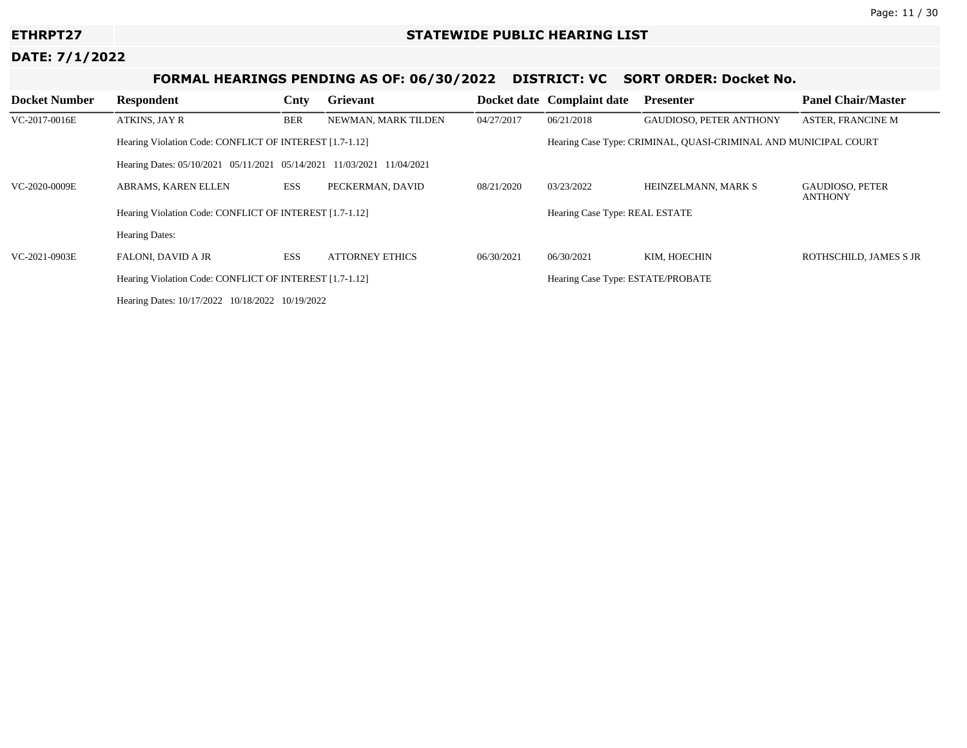# **FORMAL HEARINGS PENDING AS OF: 06/30/2022 DISTRICT: VC SORT ORDER: Docket No.**

| <b>Docket Number</b> | <b>Respondent</b>                                                     | Cnty       | Grievant               |            | Docket date Complaint date                                      | <b>Presenter</b>                  | <b>Panel Chair/Master</b>                |  |
|----------------------|-----------------------------------------------------------------------|------------|------------------------|------------|-----------------------------------------------------------------|-----------------------------------|------------------------------------------|--|
| VC-2017-0016E        | ATKINS, JAY R                                                         | <b>BER</b> | NEWMAN, MARK TILDEN    | 04/27/2017 | 06/21/2018                                                      | GAUDIOSO, PETER ANTHONY           | <b>ASTER, FRANCINE M</b>                 |  |
|                      | Hearing Violation Code: CONFLICT OF INTEREST [1.7-1.12]               |            |                        |            | Hearing Case Type: CRIMINAL, QUASI-CRIMINAL AND MUNICIPAL COURT |                                   |                                          |  |
|                      | Hearing Dates: 05/10/2021 05/11/2021 05/14/2021 11/03/2021 11/04/2021 |            |                        |            |                                                                 |                                   |                                          |  |
| VC-2020-0009E        | ABRAMS, KAREN ELLEN                                                   | <b>ESS</b> | PECKERMAN, DAVID       | 08/21/2020 | 03/23/2022                                                      | HEINZELMANN, MARK S               | <b>GAUDIOSO, PETER</b><br><b>ANTHONY</b> |  |
|                      | Hearing Violation Code: CONFLICT OF INTEREST [1.7-1.12]               |            |                        |            | Hearing Case Type: REAL ESTATE                                  |                                   |                                          |  |
|                      | <b>Hearing Dates:</b>                                                 |            |                        |            |                                                                 |                                   |                                          |  |
| VC-2021-0903E        | <b>FALONI, DAVID A JR</b>                                             | <b>ESS</b> | <b>ATTORNEY ETHICS</b> | 06/30/2021 | 06/30/2021                                                      | KIM, HOECHIN                      | ROTHSCHILD, JAMES S JR                   |  |
|                      | Hearing Violation Code: CONFLICT OF INTEREST [1.7-1.12]               |            |                        |            |                                                                 | Hearing Case Type: ESTATE/PROBATE |                                          |  |
|                      | Hearing Dates: 10/17/2022 10/18/2022 10/19/2022                       |            |                        |            |                                                                 |                                   |                                          |  |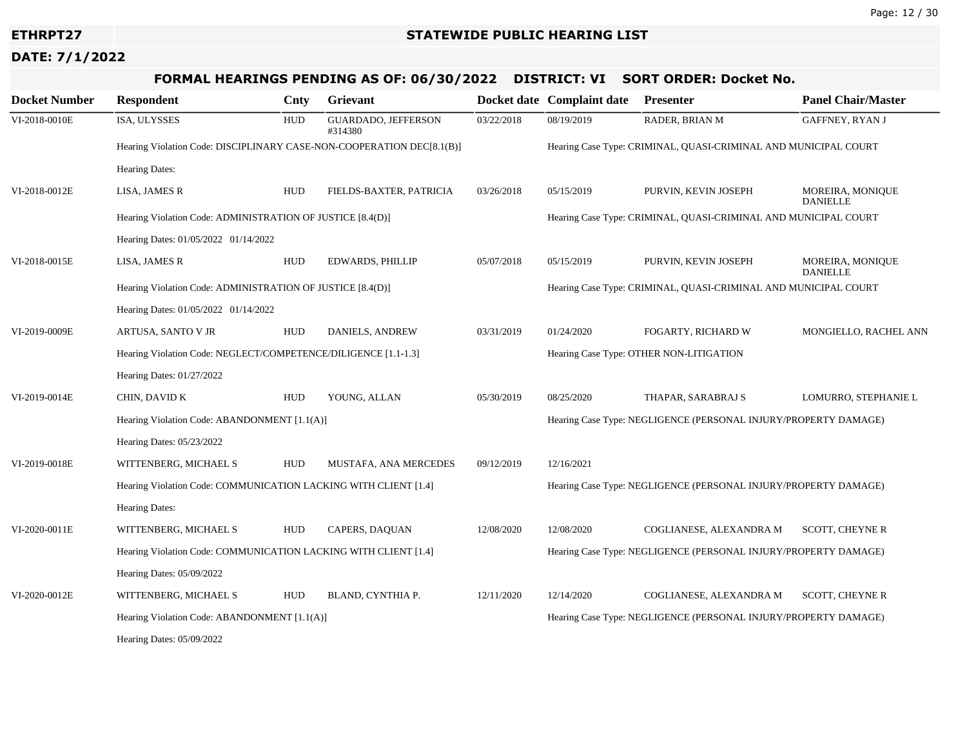# **FORMAL HEARINGS PENDING AS OF: 06/30/2022 DISTRICT: VI SORT ORDER: Docket No.**

| <b>Docket Number</b> | <b>Respondent</b>                                                     | Cnty       | Grievant                       |            | Docket date Complaint date                                      | <b>Presenter</b>                                                | <b>Panel Chair/Master</b>           |  |
|----------------------|-----------------------------------------------------------------------|------------|--------------------------------|------------|-----------------------------------------------------------------|-----------------------------------------------------------------|-------------------------------------|--|
| VI-2018-0010E        | ISA, ULYSSES                                                          | <b>HUD</b> | GUARDADO, JEFFERSON<br>#314380 | 03/22/2018 | 08/19/2019                                                      | RADER, BRIAN M                                                  | GAFFNEY, RYAN J                     |  |
|                      | Hearing Violation Code: DISCIPLINARY CASE-NON-COOPERATION DEC[8.1(B)] |            |                                |            |                                                                 | Hearing Case Type: CRIMINAL, QUASI-CRIMINAL AND MUNICIPAL COURT |                                     |  |
|                      | <b>Hearing Dates:</b>                                                 |            |                                |            |                                                                 |                                                                 |                                     |  |
| VI-2018-0012E        | LISA, JAMES R                                                         | <b>HUD</b> | FIELDS-BAXTER, PATRICIA        | 03/26/2018 | 05/15/2019                                                      | PURVIN, KEVIN JOSEPH                                            | MOREIRA, MONIQUE<br><b>DANIELLE</b> |  |
|                      | Hearing Violation Code: ADMINISTRATION OF JUSTICE [8.4(D)]            |            |                                |            |                                                                 | Hearing Case Type: CRIMINAL, QUASI-CRIMINAL AND MUNICIPAL COURT |                                     |  |
|                      | Hearing Dates: 01/05/2022 01/14/2022                                  |            |                                |            |                                                                 |                                                                 |                                     |  |
| VI-2018-0015E        | LISA, JAMES R                                                         | <b>HUD</b> | EDWARDS, PHILLIP               | 05/07/2018 | 05/15/2019                                                      | PURVIN, KEVIN JOSEPH                                            | MOREIRA, MONIQUE<br><b>DANIELLE</b> |  |
|                      | Hearing Violation Code: ADMINISTRATION OF JUSTICE [8.4(D)]            |            |                                |            | Hearing Case Type: CRIMINAL, QUASI-CRIMINAL AND MUNICIPAL COURT |                                                                 |                                     |  |
|                      | Hearing Dates: 01/05/2022 01/14/2022                                  |            |                                |            |                                                                 |                                                                 |                                     |  |
| VI-2019-0009E        | ARTUSA, SANTO V JR                                                    | <b>HUD</b> | DANIELS, ANDREW                | 03/31/2019 | 01/24/2020                                                      | FOGARTY, RICHARD W                                              | MONGIELLO, RACHEL ANN               |  |
|                      | Hearing Violation Code: NEGLECT/COMPETENCE/DILIGENCE [1.1-1.3]        |            |                                |            |                                                                 | Hearing Case Type: OTHER NON-LITIGATION                         |                                     |  |
|                      | Hearing Dates: 01/27/2022                                             |            |                                |            |                                                                 |                                                                 |                                     |  |
| VI-2019-0014E        | CHIN, DAVID K                                                         | <b>HUD</b> | YOUNG, ALLAN                   | 05/30/2019 | 08/25/2020                                                      | THAPAR, SARABRAJ S                                              | LOMURRO, STEPHANIE L                |  |
|                      | Hearing Violation Code: ABANDONMENT [1.1(A)]                          |            |                                |            | Hearing Case Type: NEGLIGENCE (PERSONAL INJURY/PROPERTY DAMAGE) |                                                                 |                                     |  |
|                      | Hearing Dates: 05/23/2022                                             |            |                                |            |                                                                 |                                                                 |                                     |  |
| VI-2019-0018E        | WITTENBERG, MICHAEL S                                                 | <b>HUD</b> | <b>MUSTAFA, ANA MERCEDES</b>   | 09/12/2019 | 12/16/2021                                                      |                                                                 |                                     |  |
|                      | Hearing Violation Code: COMMUNICATION LACKING WITH CLIENT [1.4]       |            |                                |            |                                                                 | Hearing Case Type: NEGLIGENCE (PERSONAL INJURY/PROPERTY DAMAGE) |                                     |  |
|                      | Hearing Dates:                                                        |            |                                |            |                                                                 |                                                                 |                                     |  |
| VI-2020-0011E        | WITTENBERG, MICHAEL S                                                 | <b>HUD</b> | CAPERS, DAQUAN                 | 12/08/2020 | 12/08/2020                                                      | COGLIANESE, ALEXANDRA M                                         | <b>SCOTT, CHEYNE R</b>              |  |
|                      | Hearing Violation Code: COMMUNICATION LACKING WITH CLIENT [1.4]       |            |                                |            |                                                                 | Hearing Case Type: NEGLIGENCE (PERSONAL INJURY/PROPERTY DAMAGE) |                                     |  |
|                      | Hearing Dates: 05/09/2022                                             |            |                                |            |                                                                 |                                                                 |                                     |  |
| VI-2020-0012E        | WITTENBERG, MICHAEL S                                                 | HUD        | BLAND, CYNTHIA P.              | 12/11/2020 | 12/14/2020                                                      | COGLIANESE, ALEXANDRA M                                         | <b>SCOTT, CHEYNE R</b>              |  |
|                      | Hearing Violation Code: ABANDONMENT [1.1(A)]                          |            |                                |            |                                                                 | Hearing Case Type: NEGLIGENCE (PERSONAL INJURY/PROPERTY DAMAGE) |                                     |  |
|                      | Hearing Dates: 05/09/2022                                             |            |                                |            |                                                                 |                                                                 |                                     |  |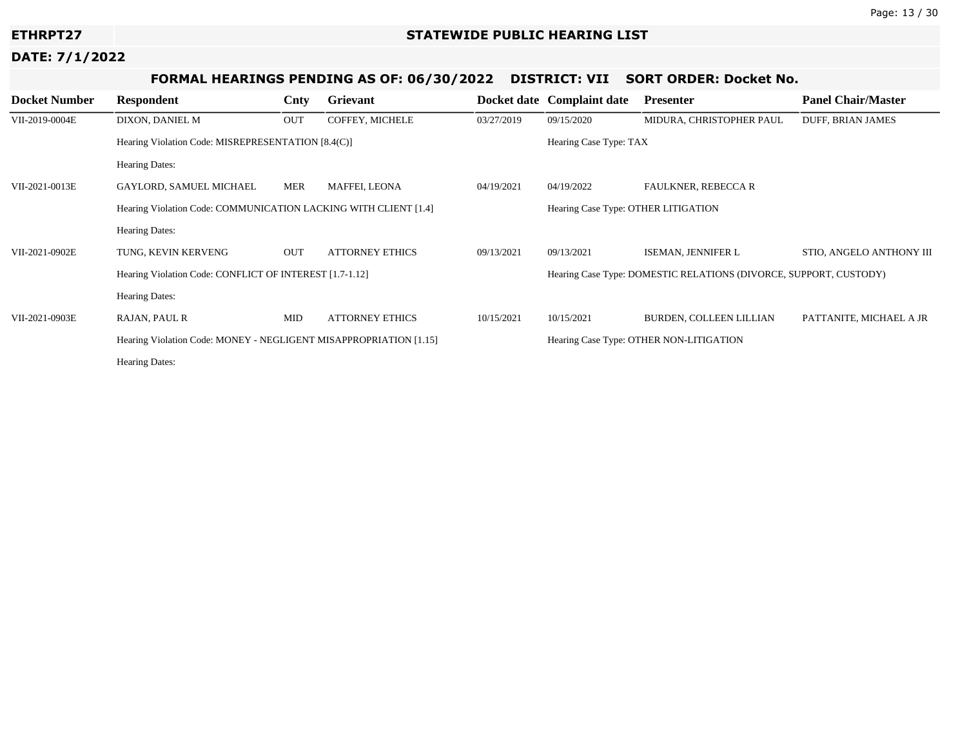# **FORMAL HEARINGS PENDING AS OF: 06/30/2022 DISTRICT: VII SORT ORDER: Docket No.**

| <b>Docket Number</b> | Respondent                                                        | Cnty       | Grievant                                | <b>Docket date</b>                  | <b>Complaint date</b>                                             | <b>Presenter</b>           | <b>Panel Chair/Master</b> |  |
|----------------------|-------------------------------------------------------------------|------------|-----------------------------------------|-------------------------------------|-------------------------------------------------------------------|----------------------------|---------------------------|--|
| VII-2019-0004E       | DIXON, DANIEL M                                                   | OUT        | COFFEY, MICHELE                         | 03/27/2019                          | 09/15/2020                                                        | MIDURA, CHRISTOPHER PAUL   | DUFF, BRIAN JAMES         |  |
|                      | Hearing Violation Code: MISREPRESENTATION [8.4(C)]                |            |                                         |                                     | Hearing Case Type: TAX                                            |                            |                           |  |
|                      | Hearing Dates:                                                    |            |                                         |                                     |                                                                   |                            |                           |  |
| VII-2021-0013E       | GAYLORD, SAMUEL MICHAEL                                           | MER        | MAFFEI, LEONA                           | 04/19/2021                          | 04/19/2022                                                        | <b>FAULKNER, REBECCA R</b> |                           |  |
|                      | Hearing Violation Code: COMMUNICATION LACKING WITH CLIENT [1.4]   |            |                                         | Hearing Case Type: OTHER LITIGATION |                                                                   |                            |                           |  |
|                      | <b>Hearing Dates:</b>                                             |            |                                         |                                     |                                                                   |                            |                           |  |
| VII-2021-0902E       | TUNG, KEVIN KERVENG                                               | OUT        | <b>ATTORNEY ETHICS</b>                  | 09/13/2021                          | 09/13/2021                                                        | ISEMAN, JENNIFER L         | STIO, ANGELO ANTHONY III  |  |
|                      | Hearing Violation Code: CONFLICT OF INTEREST [1.7-1.12]           |            |                                         |                                     | Hearing Case Type: DOMESTIC RELATIONS (DIVORCE, SUPPORT, CUSTODY) |                            |                           |  |
|                      | <b>Hearing Dates:</b>                                             |            |                                         |                                     |                                                                   |                            |                           |  |
| VII-2021-0903E       | RAJAN, PAUL R                                                     | <b>MID</b> | <b>ATTORNEY ETHICS</b>                  | 10/15/2021                          | 10/15/2021                                                        | BURDEN, COLLEEN LILLIAN    | PATTANITE, MICHAEL A JR   |  |
|                      | Hearing Violation Code: MONEY - NEGLIGENT MISAPPROPRIATION [1.15] |            | Hearing Case Type: OTHER NON-LITIGATION |                                     |                                                                   |                            |                           |  |
|                      | <b>Hearing Dates:</b>                                             |            |                                         |                                     |                                                                   |                            |                           |  |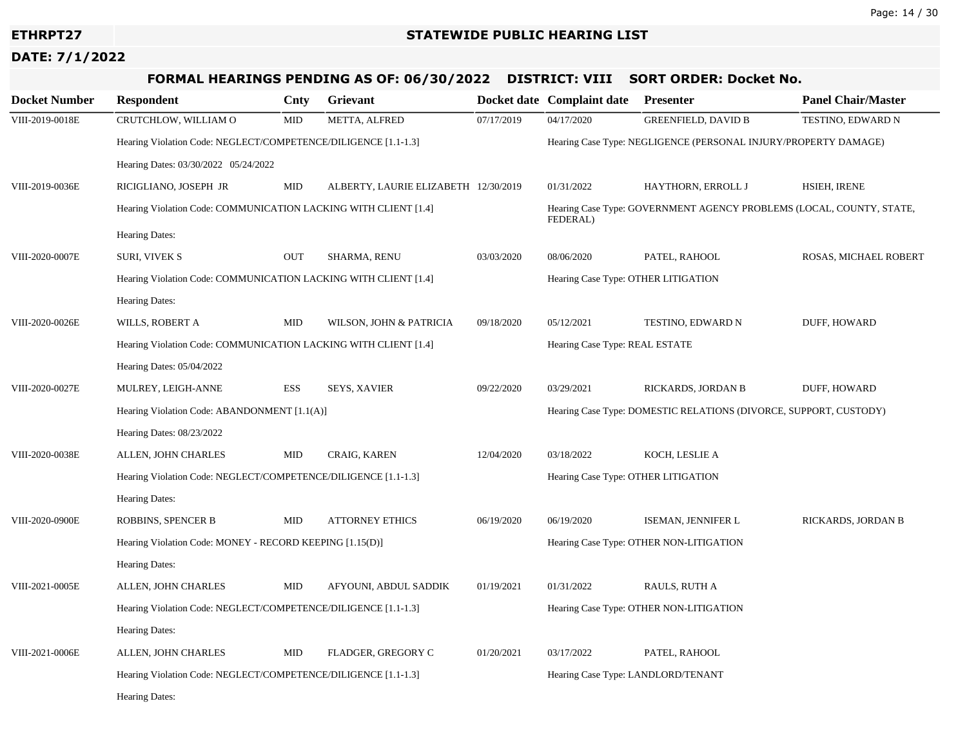# **FORMAL HEARINGS PENDING AS OF: 06/30/2022 DISTRICT: VIII SORT ORDER: Docket No.**

| <b>Docket Number</b> | <b>Respondent</b>                                               | Cnty       | Grievant                             |                                | Docket date Complaint date                                           | <b>Presenter</b>                        | <b>Panel Chair/Master</b> |  |
|----------------------|-----------------------------------------------------------------|------------|--------------------------------------|--------------------------------|----------------------------------------------------------------------|-----------------------------------------|---------------------------|--|
| VIII-2019-0018E      | CRUTCHLOW, WILLIAM O                                            | <b>MID</b> | METTA, ALFRED                        | 07/17/2019                     | 04/17/2020                                                           | <b>GREENFIELD, DAVID B</b>              | TESTINO, EDWARD N         |  |
|                      | Hearing Violation Code: NEGLECT/COMPETENCE/DILIGENCE [1.1-1.3]  |            |                                      |                                | Hearing Case Type: NEGLIGENCE (PERSONAL INJURY/PROPERTY DAMAGE)      |                                         |                           |  |
|                      | Hearing Dates: 03/30/2022 05/24/2022                            |            |                                      |                                |                                                                      |                                         |                           |  |
| VIII-2019-0036E      | RICIGLIANO, JOSEPH JR                                           | <b>MID</b> | ALBERTY, LAURIE ELIZABETH 12/30/2019 |                                | 01/31/2022                                                           | HAYTHORN, ERROLL J                      | HSIEH, IRENE              |  |
|                      | Hearing Violation Code: COMMUNICATION LACKING WITH CLIENT [1.4] |            |                                      | FEDERAL)                       | Hearing Case Type: GOVERNMENT AGENCY PROBLEMS (LOCAL, COUNTY, STATE, |                                         |                           |  |
|                      | Hearing Dates:                                                  |            |                                      |                                |                                                                      |                                         |                           |  |
| VIII-2020-0007E      | <b>SURI, VIVEK S</b>                                            | <b>OUT</b> | SHARMA, RENU                         | 03/03/2020                     | 08/06/2020                                                           | PATEL, RAHOOL                           | ROSAS, MICHAEL ROBERT     |  |
|                      | Hearing Violation Code: COMMUNICATION LACKING WITH CLIENT [1.4] |            |                                      |                                | Hearing Case Type: OTHER LITIGATION                                  |                                         |                           |  |
|                      | Hearing Dates:                                                  |            |                                      |                                |                                                                      |                                         |                           |  |
| VIII-2020-0026E      | WILLS, ROBERT A                                                 | <b>MID</b> | WILSON, JOHN & PATRICIA              | 09/18/2020                     | 05/12/2021                                                           | TESTINO, EDWARD N                       | DUFF, HOWARD              |  |
|                      | Hearing Violation Code: COMMUNICATION LACKING WITH CLIENT [1.4] |            |                                      | Hearing Case Type: REAL ESTATE |                                                                      |                                         |                           |  |
|                      | Hearing Dates: 05/04/2022                                       |            |                                      |                                |                                                                      |                                         |                           |  |
| VIII-2020-0027E      | MULREY, LEIGH-ANNE                                              | ESS        | <b>SEYS, XAVIER</b>                  | 09/22/2020                     | 03/29/2021                                                           | RICKARDS, JORDAN B                      | DUFF, HOWARD              |  |
|                      | Hearing Violation Code: ABANDONMENT [1.1(A)]                    |            |                                      |                                | Hearing Case Type: DOMESTIC RELATIONS (DIVORCE, SUPPORT, CUSTODY)    |                                         |                           |  |
|                      | Hearing Dates: 08/23/2022                                       |            |                                      |                                |                                                                      |                                         |                           |  |
| VIII-2020-0038E      | ALLEN, JOHN CHARLES                                             | <b>MID</b> | CRAIG, KAREN                         | 12/04/2020                     | 03/18/2022                                                           | KOCH, LESLIE A                          |                           |  |
|                      | Hearing Violation Code: NEGLECT/COMPETENCE/DILIGENCE [1.1-1.3]  |            |                                      |                                | Hearing Case Type: OTHER LITIGATION                                  |                                         |                           |  |
|                      | Hearing Dates:                                                  |            |                                      |                                |                                                                      |                                         |                           |  |
| VIII-2020-0900E      | ROBBINS, SPENCER B                                              | <b>MID</b> | <b>ATTORNEY ETHICS</b>               | 06/19/2020                     | 06/19/2020                                                           | ISEMAN, JENNIFER L                      | RICKARDS, JORDAN B        |  |
|                      | Hearing Violation Code: MONEY - RECORD KEEPING [1.15(D)]        |            |                                      |                                |                                                                      | Hearing Case Type: OTHER NON-LITIGATION |                           |  |
|                      | Hearing Dates:                                                  |            |                                      |                                |                                                                      |                                         |                           |  |
| VIII-2021-0005E      | ALLEN, JOHN CHARLES                                             | <b>MID</b> | AFYOUNI, ABDUL SADDIK                | 01/19/2021                     | 01/31/2022                                                           | RAULS, RUTH A                           |                           |  |
|                      | Hearing Violation Code: NEGLECT/COMPETENCE/DILIGENCE [1.1-1.3]  |            |                                      |                                |                                                                      | Hearing Case Type: OTHER NON-LITIGATION |                           |  |
|                      | Hearing Dates:                                                  |            |                                      |                                |                                                                      |                                         |                           |  |
| VIII-2021-0006E      | ALLEN, JOHN CHARLES                                             | <b>MID</b> | FLADGER, GREGORY C                   | 01/20/2021                     | 03/17/2022                                                           | PATEL, RAHOOL                           |                           |  |
|                      | Hearing Violation Code: NEGLECT/COMPETENCE/DILIGENCE [1.1-1.3]  |            |                                      |                                | Hearing Case Type: LANDLORD/TENANT                                   |                                         |                           |  |
|                      | Hearing Dates:                                                  |            |                                      |                                |                                                                      |                                         |                           |  |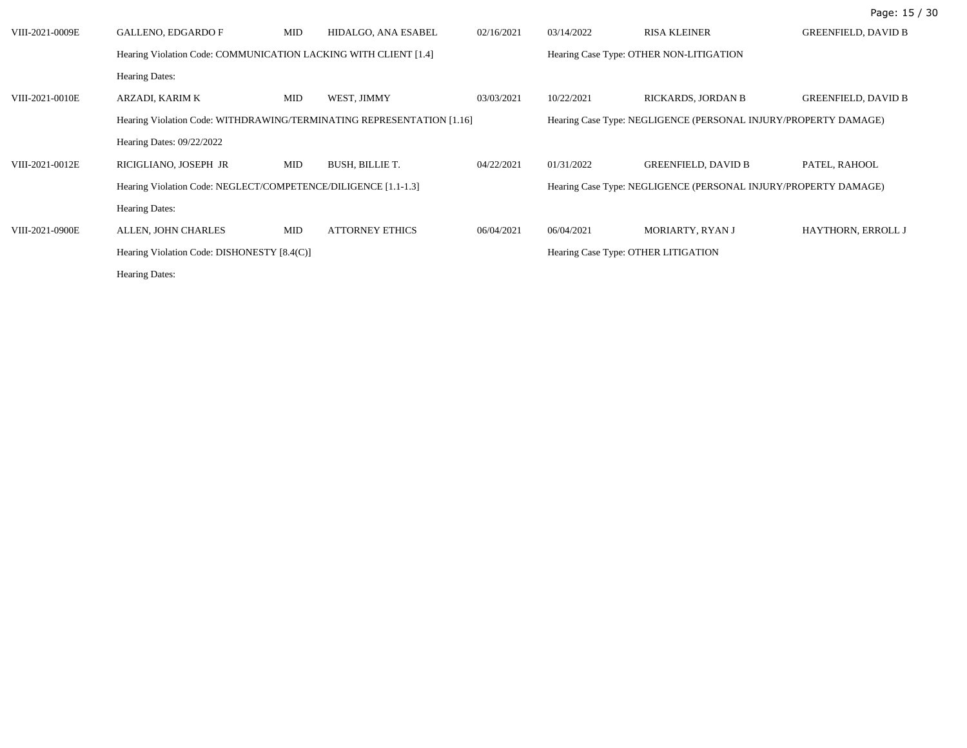| VIII-2021-0009E | <b>GALLENO, EDGARDO F</b>                                             | MID | HIDALGO, ANA ESABEL    | 02/16/2021 | 03/14/2022                          | <b>RISA KLEINER</b>                                             | <b>GREENFIELD, DAVID B</b> |
|-----------------|-----------------------------------------------------------------------|-----|------------------------|------------|-------------------------------------|-----------------------------------------------------------------|----------------------------|
|                 | Hearing Violation Code: COMMUNICATION LACKING WITH CLIENT [1.4]       |     |                        |            |                                     | Hearing Case Type: OTHER NON-LITIGATION                         |                            |
|                 | <b>Hearing Dates:</b>                                                 |     |                        |            |                                     |                                                                 |                            |
| VIII-2021-0010E | ARZADI, KARIM K                                                       | MID | WEST, JIMMY            | 03/03/2021 | 10/22/2021                          | RICKARDS, JORDAN B                                              | <b>GREENFIELD, DAVID B</b> |
|                 | Hearing Violation Code: WITHDRAWING/TERMINATING REPRESENTATION [1.16] |     |                        |            |                                     | Hearing Case Type: NEGLIGENCE (PERSONAL INJURY/PROPERTY DAMAGE) |                            |
|                 | Hearing Dates: 09/22/2022                                             |     |                        |            |                                     |                                                                 |                            |
| VIII-2021-0012E | RICIGLIANO, JOSEPH JR                                                 | MID | <b>BUSH, BILLIE T.</b> | 04/22/2021 | 01/31/2022                          | <b>GREENFIELD, DAVID B</b>                                      | PATEL, RAHOOL              |
|                 | Hearing Violation Code: NEGLECT/COMPETENCE/DILIGENCE [1.1-1.3]        |     |                        |            |                                     | Hearing Case Type: NEGLIGENCE (PERSONAL INJURY/PROPERTY DAMAGE) |                            |
|                 | <b>Hearing Dates:</b>                                                 |     |                        |            |                                     |                                                                 |                            |
| VIII-2021-0900E | ALLEN, JOHN CHARLES                                                   | MID | <b>ATTORNEY ETHICS</b> | 06/04/2021 | 06/04/2021                          | MORIARTY, RYAN J                                                | HAYTHORN, ERROLL J         |
|                 | Hearing Violation Code: DISHONESTY [8.4(C)]                           |     |                        |            | Hearing Case Type: OTHER LITIGATION |                                                                 |                            |
|                 | <b>Hearing Dates:</b>                                                 |     |                        |            |                                     |                                                                 |                            |

Page: 15 / 30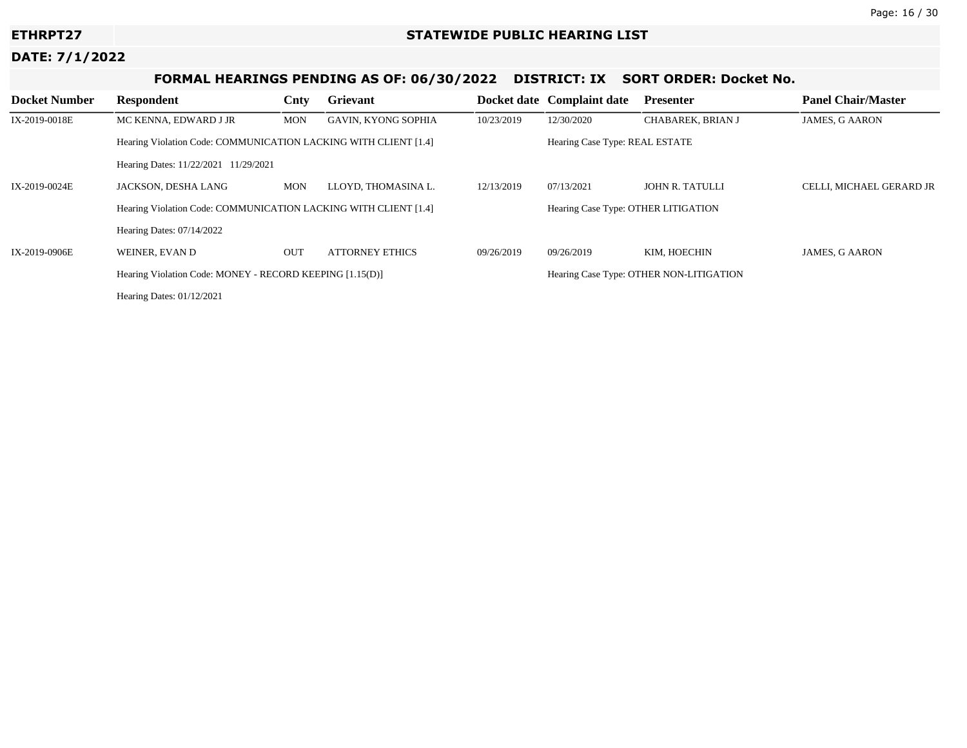# **FORMAL HEARINGS PENDING AS OF: 06/30/2022 DISTRICT: IX SORT ORDER: Docket No.**

| <b>Docket Number</b> | <b>Respondent</b>                                               | Cnty       | Grievant                   |            | Docket date Complaint date              | <b>Presenter</b>  | <b>Panel Chair/Master</b> |  |
|----------------------|-----------------------------------------------------------------|------------|----------------------------|------------|-----------------------------------------|-------------------|---------------------------|--|
| IX-2019-0018E        | MC KENNA, EDWARD J JR                                           | <b>MON</b> | <b>GAVIN, KYONG SOPHIA</b> | 10/23/2019 | 12/30/2020                              | CHABAREK, BRIAN J | <b>JAMES, G AARON</b>     |  |
|                      | Hearing Violation Code: COMMUNICATION LACKING WITH CLIENT [1.4] |            |                            |            | Hearing Case Type: REAL ESTATE          |                   |                           |  |
|                      | Hearing Dates: 11/22/2021 11/29/2021                            |            |                            |            |                                         |                   |                           |  |
| IX-2019-0024E        | JACKSON, DESHA LANG                                             | <b>MON</b> | LLOYD, THOMASINA L.        | 12/13/2019 | 07/13/2021                              | JOHN R. TATULLI   | CELLI, MICHAEL GERARD JR  |  |
|                      | Hearing Violation Code: COMMUNICATION LACKING WITH CLIENT [1.4] |            |                            |            | Hearing Case Type: OTHER LITIGATION     |                   |                           |  |
|                      | Hearing Dates: $07/14/2022$                                     |            |                            |            |                                         |                   |                           |  |
| IX-2019-0906E        | WEINER, EVAN D                                                  | <b>OUT</b> | ATTORNEY ETHICS            | 09/26/2019 | 09/26/2019                              | KIM. HOECHIN      | <b>JAMES, G AARON</b>     |  |
|                      | Hearing Violation Code: MONEY - RECORD KEEPING [1.15(D)]        |            |                            |            | Hearing Case Type: OTHER NON-LITIGATION |                   |                           |  |
|                      | Hearing Dates: 01/12/2021                                       |            |                            |            |                                         |                   |                           |  |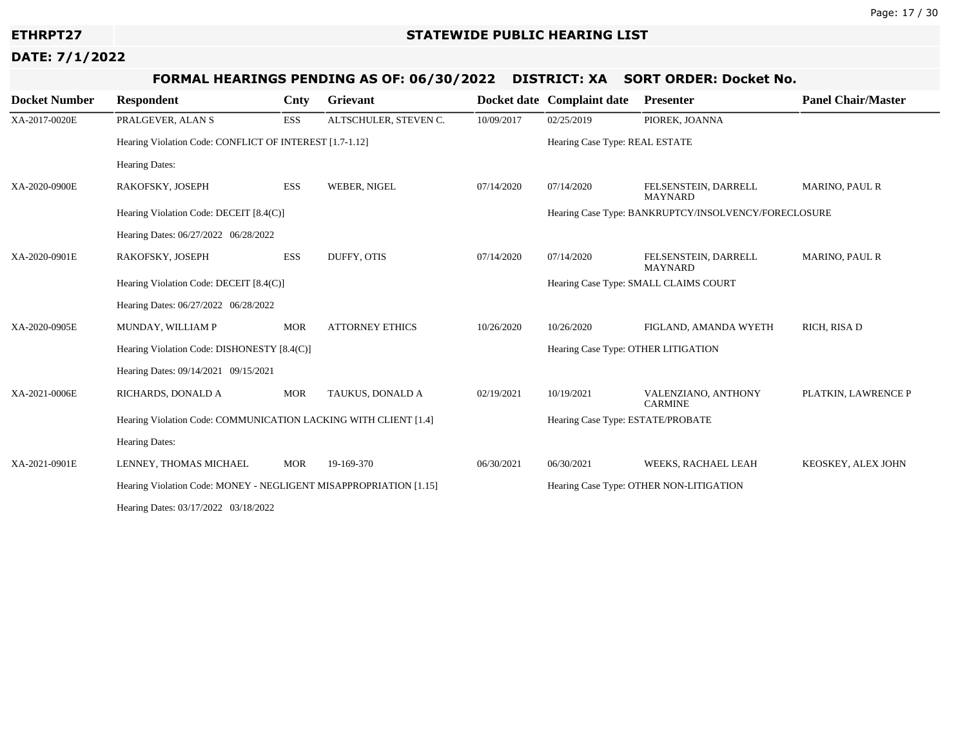# **FORMAL HEARINGS PENDING AS OF: 06/30/2022 DISTRICT: XA SORT ORDER: Docket No.**

| <b>Docket Number</b> | <b>Respondent</b>                                                 | Cnty       | <b>Grievant</b>        |            | Docket date Complaint date          | <b>Presenter</b>                                     | <b>Panel Chair/Master</b> |  |
|----------------------|-------------------------------------------------------------------|------------|------------------------|------------|-------------------------------------|------------------------------------------------------|---------------------------|--|
| XA-2017-0020E        | PRALGEVER, ALAN S                                                 | ESS        | ALTSCHULER, STEVEN C.  | 10/09/2017 | 02/25/2019                          | PIOREK, JOANNA                                       |                           |  |
|                      | Hearing Violation Code: CONFLICT OF INTEREST [1.7-1.12]           |            |                        |            | Hearing Case Type: REAL ESTATE      |                                                      |                           |  |
|                      | Hearing Dates:                                                    |            |                        |            |                                     |                                                      |                           |  |
| XA-2020-0900E        | RAKOFSKY, JOSEPH                                                  | <b>ESS</b> | WEBER, NIGEL           | 07/14/2020 | 07/14/2020                          | FELSENSTEIN, DARRELL<br><b>MAYNARD</b>               | <b>MARINO, PAUL R</b>     |  |
|                      | Hearing Violation Code: DECEIT [8.4(C)]                           |            |                        |            |                                     | Hearing Case Type: BANKRUPTCY/INSOLVENCY/FORECLOSURE |                           |  |
|                      | Hearing Dates: 06/27/2022 06/28/2022                              |            |                        |            |                                     |                                                      |                           |  |
| XA-2020-0901E        | RAKOFSKY, JOSEPH                                                  | ESS        | DUFFY, OTIS            | 07/14/2020 | 07/14/2020                          | FELSENSTEIN, DARRELL<br><b>MAYNARD</b>               | <b>MARINO, PAUL R</b>     |  |
|                      | Hearing Violation Code: DECEIT [8.4(C)]                           |            |                        |            |                                     | Hearing Case Type: SMALL CLAIMS COURT                |                           |  |
|                      | Hearing Dates: 06/27/2022 06/28/2022                              |            |                        |            |                                     |                                                      |                           |  |
| XA-2020-0905E        | MUNDAY, WILLIAM P                                                 | <b>MOR</b> | <b>ATTORNEY ETHICS</b> | 10/26/2020 | 10/26/2020                          | FIGLAND, AMANDA WYETH                                | RICH, RISA D              |  |
|                      | Hearing Violation Code: DISHONESTY [8.4(C)]                       |            |                        |            | Hearing Case Type: OTHER LITIGATION |                                                      |                           |  |
|                      | Hearing Dates: 09/14/2021 09/15/2021                              |            |                        |            |                                     |                                                      |                           |  |
| XA-2021-0006E        | RICHARDS, DONALD A                                                | <b>MOR</b> | TAUKUS, DONALD A       | 02/19/2021 | 10/19/2021                          | VALENZIANO, ANTHONY<br><b>CARMINE</b>                | PLATKIN, LAWRENCE P       |  |
|                      | Hearing Violation Code: COMMUNICATION LACKING WITH CLIENT [1.4]   |            |                        |            | Hearing Case Type: ESTATE/PROBATE   |                                                      |                           |  |
|                      | <b>Hearing Dates:</b>                                             |            |                        |            |                                     |                                                      |                           |  |
| XA-2021-0901E        | LENNEY, THOMAS MICHAEL                                            | <b>MOR</b> | 19-169-370             | 06/30/2021 | 06/30/2021                          | WEEKS, RACHAEL LEAH                                  | KEOSKEY, ALEX JOHN        |  |
|                      | Hearing Violation Code: MONEY - NEGLIGENT MISAPPROPRIATION [1.15] |            |                        |            |                                     | Hearing Case Type: OTHER NON-LITIGATION              |                           |  |
|                      | Hearing Dates: 03/17/2022 03/18/2022                              |            |                        |            |                                     |                                                      |                           |  |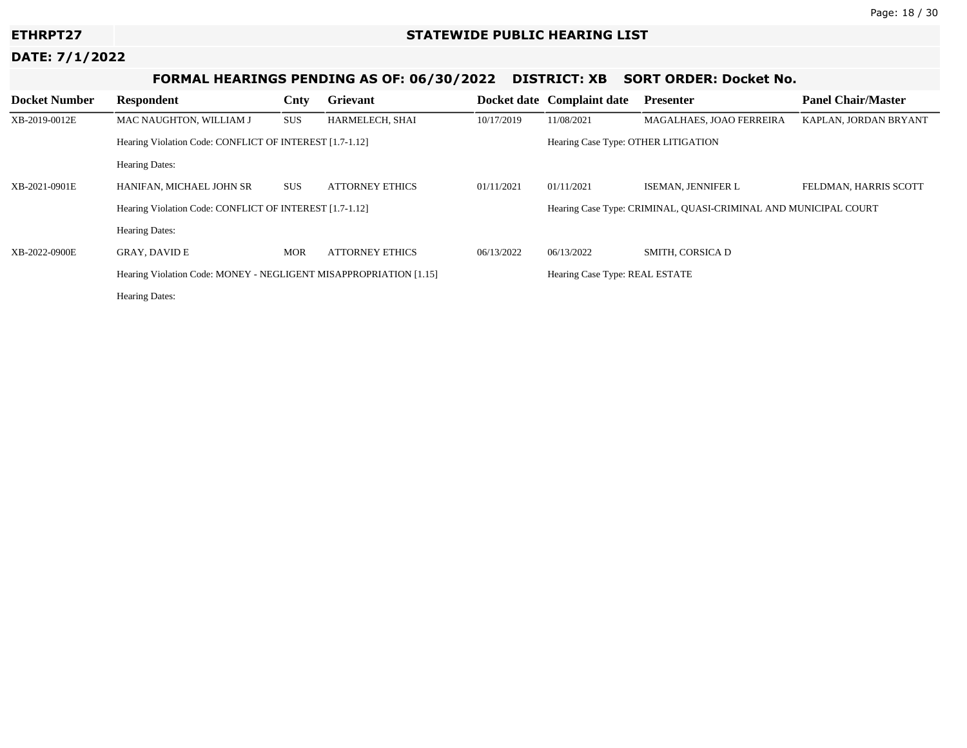# **FORMAL HEARINGS PENDING AS OF: 06/30/2022 DISTRICT: XB SORT ORDER: Docket No.**

| <b>Docket Number</b> | Respondent                                                        | Cnty       | Grievant               |            | Docket date Complaint date                                      | <b>Presenter</b>         | <b>Panel Chair/Master</b> |  |
|----------------------|-------------------------------------------------------------------|------------|------------------------|------------|-----------------------------------------------------------------|--------------------------|---------------------------|--|
| XB-2019-0012E        | MAC NAUGHTON, WILLIAM J                                           | <b>SUS</b> | HARMELECH, SHAI        | 10/17/2019 | 11/08/2021                                                      | MAGALHAES, JOAO FERREIRA | KAPLAN, JORDAN BRYANT     |  |
|                      | Hearing Violation Code: CONFLICT OF INTEREST [1.7-1.12]           |            |                        |            | Hearing Case Type: OTHER LITIGATION                             |                          |                           |  |
|                      | <b>Hearing Dates:</b>                                             |            |                        |            |                                                                 |                          |                           |  |
| XB-2021-0901E        | HANIFAN, MICHAEL JOHN SR                                          | <b>SUS</b> | <b>ATTORNEY ETHICS</b> | 01/11/2021 | 01/11/2021                                                      | ISEMAN, JENNIFER L       | FELDMAN, HARRIS SCOTT     |  |
|                      | Hearing Violation Code: CONFLICT OF INTEREST [1.7-1.12]           |            |                        |            | Hearing Case Type: CRIMINAL, QUASI-CRIMINAL AND MUNICIPAL COURT |                          |                           |  |
|                      | <b>Hearing Dates:</b>                                             |            |                        |            |                                                                 |                          |                           |  |
| XB-2022-0900E        | <b>GRAY, DAVID E</b>                                              | <b>MOR</b> | <b>ATTORNEY ETHICS</b> | 06/13/2022 | 06/13/2022                                                      | SMITH, CORSICA D         |                           |  |
|                      | Hearing Violation Code: MONEY - NEGLIGENT MISAPPROPRIATION [1.15] |            |                        |            | Hearing Case Type: REAL ESTATE                                  |                          |                           |  |
|                      | <b>Hearing Dates:</b>                                             |            |                        |            |                                                                 |                          |                           |  |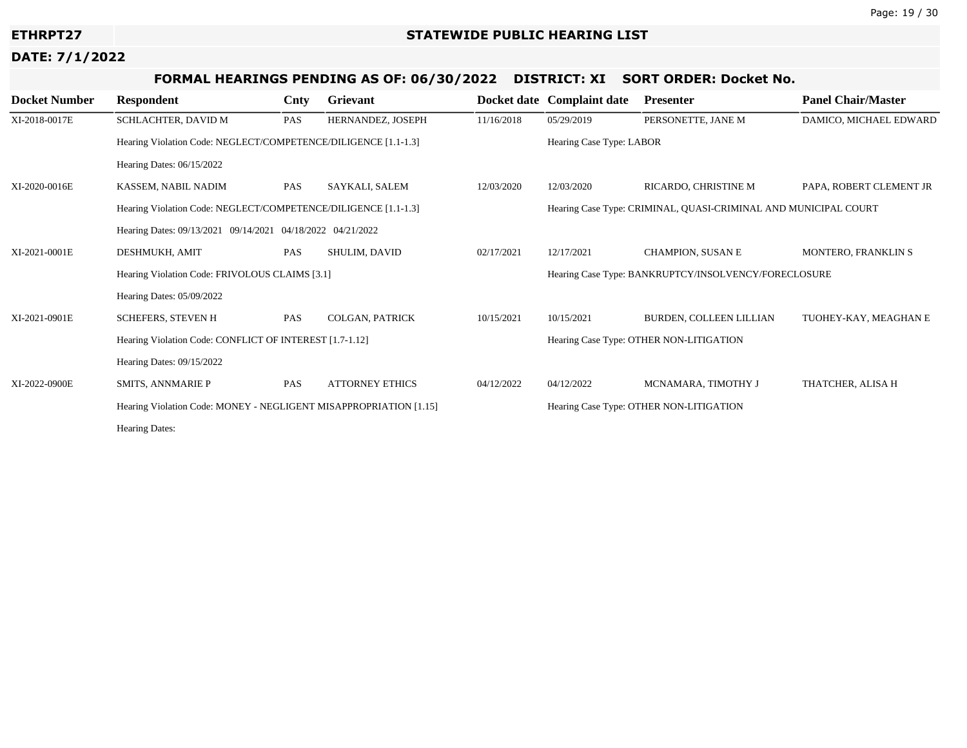# **FORMAL HEARINGS PENDING AS OF: 06/30/2022 DISTRICT: XI SORT ORDER: Docket No.**

| <b>Docket Number</b> | <b>Respondent</b>                                                 | Cnty | Grievant               |            | Docket date Complaint date                                      | <b>Presenter</b>                                     | <b>Panel Chair/Master</b>  |  |
|----------------------|-------------------------------------------------------------------|------|------------------------|------------|-----------------------------------------------------------------|------------------------------------------------------|----------------------------|--|
| XI-2018-0017E        | SCHLACHTER, DAVID M                                               | PAS  | HERNANDEZ, JOSEPH      | 11/16/2018 | 05/29/2019                                                      | PERSONETTE, JANE M                                   | DAMICO, MICHAEL EDWARD     |  |
|                      | Hearing Violation Code: NEGLECT/COMPETENCE/DILIGENCE [1.1-1.3]    |      |                        |            | Hearing Case Type: LABOR                                        |                                                      |                            |  |
|                      | Hearing Dates: 06/15/2022                                         |      |                        |            |                                                                 |                                                      |                            |  |
| XI-2020-0016E        | KASSEM, NABIL NADIM                                               | PAS  | SAYKALI, SALEM         | 12/03/2020 | 12/03/2020                                                      | RICARDO, CHRISTINE M                                 | PAPA, ROBERT CLEMENT JR    |  |
|                      | Hearing Violation Code: NEGLECT/COMPETENCE/DILIGENCE [1.1-1.3]    |      |                        |            | Hearing Case Type: CRIMINAL, QUASI-CRIMINAL AND MUNICIPAL COURT |                                                      |                            |  |
|                      | Hearing Dates: 09/13/2021 09/14/2021 04/18/2022 04/21/2022        |      |                        |            |                                                                 |                                                      |                            |  |
| XI-2021-0001E        | DESHMUKH, AMIT                                                    | PAS  | SHULIM, DAVID          | 02/17/2021 | 12/17/2021                                                      | <b>CHAMPION, SUSAN E</b>                             | <b>MONTERO, FRANKLIN S</b> |  |
|                      | Hearing Violation Code: FRIVOLOUS CLAIMS [3.1]                    |      |                        |            |                                                                 | Hearing Case Type: BANKRUPTCY/INSOLVENCY/FORECLOSURE |                            |  |
|                      | Hearing Dates: 05/09/2022                                         |      |                        |            |                                                                 |                                                      |                            |  |
| XI-2021-0901E        | <b>SCHEFERS, STEVEN H</b>                                         | PAS  | COLGAN, PATRICK        | 10/15/2021 | 10/15/2021                                                      | BURDEN, COLLEEN LILLIAN                              | TUOHEY-KAY, MEAGHAN E      |  |
|                      | Hearing Violation Code: CONFLICT OF INTEREST [1.7-1.12]           |      |                        |            | Hearing Case Type: OTHER NON-LITIGATION                         |                                                      |                            |  |
|                      | Hearing Dates: 09/15/2022                                         |      |                        |            |                                                                 |                                                      |                            |  |
| XI-2022-0900E        | <b>SMITS, ANNMARIE P</b>                                          | PAS  | <b>ATTORNEY ETHICS</b> | 04/12/2022 | 04/12/2022                                                      | MCNAMARA, TIMOTHY J                                  | THATCHER, ALISA H          |  |
|                      | Hearing Violation Code: MONEY - NEGLIGENT MISAPPROPRIATION [1.15] |      |                        |            |                                                                 | Hearing Case Type: OTHER NON-LITIGATION              |                            |  |
|                      | <b>Hearing Dates:</b>                                             |      |                        |            |                                                                 |                                                      |                            |  |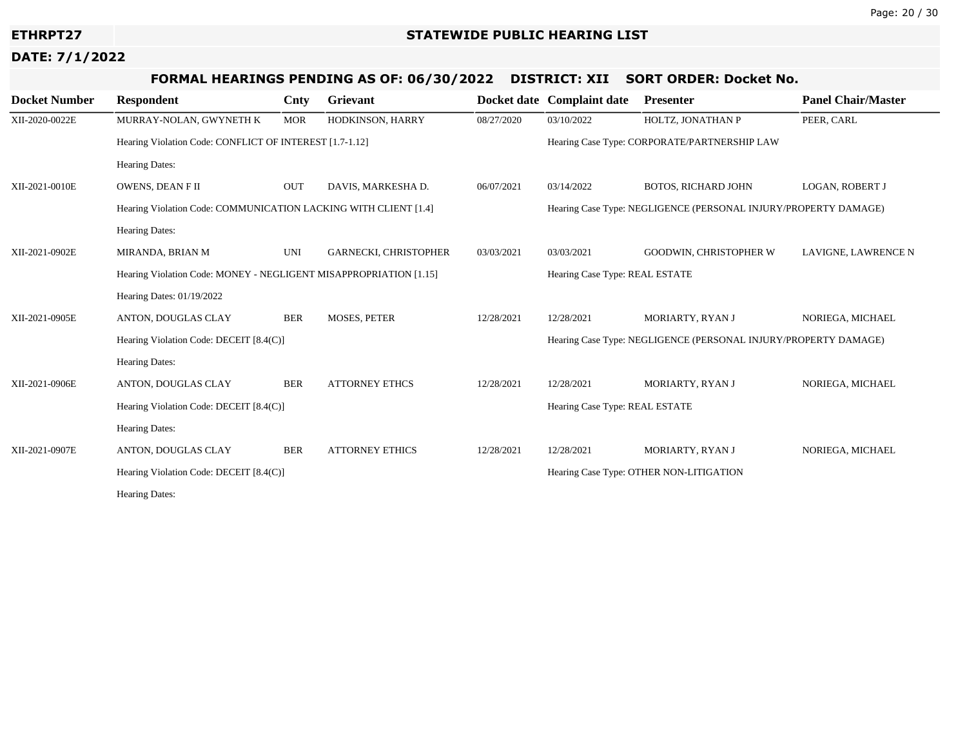# **FORMAL HEARINGS PENDING AS OF: 06/30/2022 DISTRICT: XII SORT ORDER: Docket No.**

| <b>Docket Number</b> | <b>Respondent</b>                                                 | Cnty       | <b>Grievant</b>              |            | Docket date Complaint date                                      | <b>Presenter</b>                                                | <b>Panel Chair/Master</b> |  |
|----------------------|-------------------------------------------------------------------|------------|------------------------------|------------|-----------------------------------------------------------------|-----------------------------------------------------------------|---------------------------|--|
| XII-2020-0022E       | MURRAY-NOLAN, GWYNETH K                                           | <b>MOR</b> | HODKINSON, HARRY             | 08/27/2020 | 03/10/2022                                                      | HOLTZ, JONATHAN P                                               | PEER, CARL                |  |
|                      | Hearing Violation Code: CONFLICT OF INTEREST [1.7-1.12]           |            |                              |            | Hearing Case Type: CORPORATE/PARTNERSHIP LAW                    |                                                                 |                           |  |
|                      | Hearing Dates:                                                    |            |                              |            |                                                                 |                                                                 |                           |  |
| XII-2021-0010E       | OWENS, DEAN FII                                                   | OUT        | DAVIS, MARKESHA D.           | 06/07/2021 | 03/14/2022                                                      | <b>BOTOS, RICHARD JOHN</b>                                      | LOGAN, ROBERT J           |  |
|                      | Hearing Violation Code: COMMUNICATION LACKING WITH CLIENT [1.4]   |            |                              |            |                                                                 | Hearing Case Type: NEGLIGENCE (PERSONAL INJURY/PROPERTY DAMAGE) |                           |  |
|                      | <b>Hearing Dates:</b>                                             |            |                              |            |                                                                 |                                                                 |                           |  |
| XII-2021-0902E       | MIRANDA, BRIAN M                                                  | <b>UNI</b> | <b>GARNECKI, CHRISTOPHER</b> | 03/03/2021 | 03/03/2021                                                      | <b>GOODWIN, CHRISTOPHER W</b>                                   | LAVIGNE, LAWRENCE N       |  |
|                      | Hearing Violation Code: MONEY - NEGLIGENT MISAPPROPRIATION [1.15] |            |                              |            | Hearing Case Type: REAL ESTATE                                  |                                                                 |                           |  |
|                      | Hearing Dates: 01/19/2022                                         |            |                              |            |                                                                 |                                                                 |                           |  |
| XII-2021-0905E       | ANTON, DOUGLAS CLAY                                               | <b>BER</b> | <b>MOSES, PETER</b>          | 12/28/2021 | 12/28/2021                                                      | MORIARTY, RYAN J                                                | NORIEGA, MICHAEL          |  |
|                      | Hearing Violation Code: DECEIT [8.4(C)]                           |            |                              |            | Hearing Case Type: NEGLIGENCE (PERSONAL INJURY/PROPERTY DAMAGE) |                                                                 |                           |  |
|                      | Hearing Dates:                                                    |            |                              |            |                                                                 |                                                                 |                           |  |
| XII-2021-0906E       | ANTON, DOUGLAS CLAY                                               | <b>BER</b> | <b>ATTORNEY ETHCS</b>        | 12/28/2021 | 12/28/2021                                                      | MORIARTY, RYAN J                                                | NORIEGA, MICHAEL          |  |
|                      | Hearing Violation Code: DECEIT [8.4(C)]                           |            |                              |            | Hearing Case Type: REAL ESTATE                                  |                                                                 |                           |  |
|                      | <b>Hearing Dates:</b>                                             |            |                              |            |                                                                 |                                                                 |                           |  |
| XII-2021-0907E       | ANTON, DOUGLAS CLAY                                               | <b>BER</b> | <b>ATTORNEY ETHICS</b>       | 12/28/2021 | 12/28/2021                                                      | MORIARTY, RYAN J                                                | NORIEGA, MICHAEL          |  |
|                      | Hearing Violation Code: DECEIT [8.4(C)]                           |            |                              |            |                                                                 | Hearing Case Type: OTHER NON-LITIGATION                         |                           |  |
|                      | Hearing Dates:                                                    |            |                              |            |                                                                 |                                                                 |                           |  |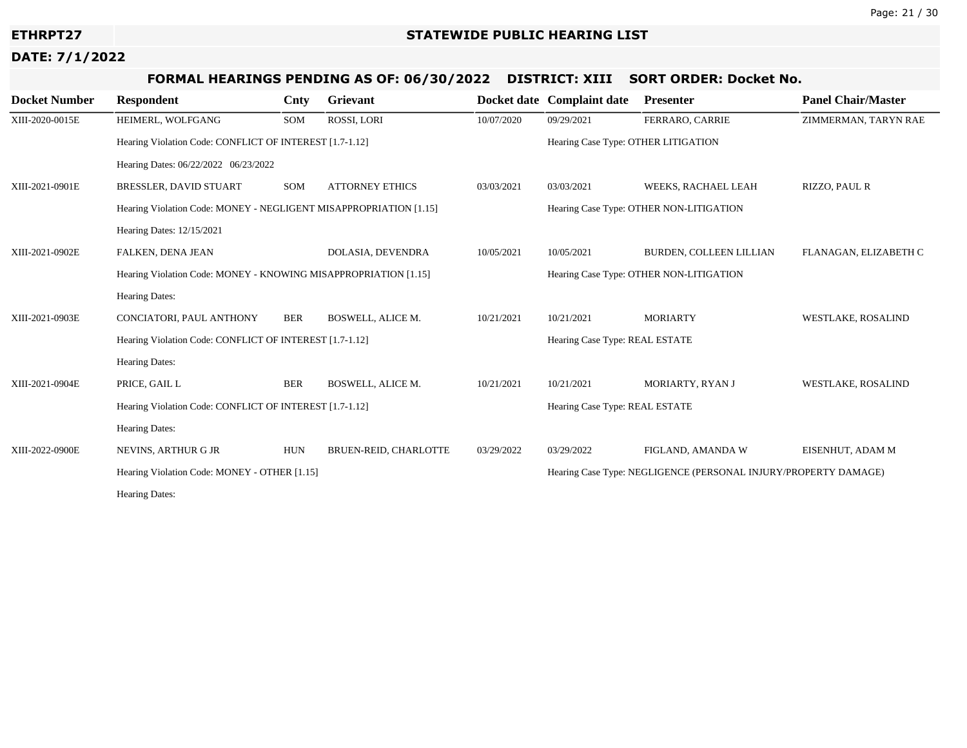# **FORMAL HEARINGS PENDING AS OF: 06/30/2022 DISTRICT: XIII SORT ORDER: Docket No.**

| <b>Docket Number</b> | <b>Respondent</b>                                                 | Cnty       | Grievant                 |            | Docket date Complaint date          | <b>Presenter</b>                                                | <b>Panel Chair/Master</b> |  |
|----------------------|-------------------------------------------------------------------|------------|--------------------------|------------|-------------------------------------|-----------------------------------------------------------------|---------------------------|--|
| XIII-2020-0015E      | HEIMERL, WOLFGANG                                                 | SOM        | ROSSI, LORI              | 10/07/2020 | 09/29/2021                          | FERRARO, CARRIE                                                 | ZIMMERMAN, TARYN RAE      |  |
|                      | Hearing Violation Code: CONFLICT OF INTEREST [1.7-1.12]           |            |                          |            | Hearing Case Type: OTHER LITIGATION |                                                                 |                           |  |
|                      | Hearing Dates: 06/22/2022 06/23/2022                              |            |                          |            |                                     |                                                                 |                           |  |
| XIII-2021-0901E      | BRESSLER, DAVID STUART                                            | SOM        | <b>ATTORNEY ETHICS</b>   | 03/03/2021 | 03/03/2021                          | WEEKS, RACHAEL LEAH                                             | RIZZO, PAUL R             |  |
|                      | Hearing Violation Code: MONEY - NEGLIGENT MISAPPROPRIATION [1.15] |            |                          |            |                                     | Hearing Case Type: OTHER NON-LITIGATION                         |                           |  |
|                      | Hearing Dates: 12/15/2021                                         |            |                          |            |                                     |                                                                 |                           |  |
| XIII-2021-0902E      | FALKEN, DENA JEAN                                                 |            | DOLASIA, DEVENDRA        | 10/05/2021 | 10/05/2021                          | BURDEN, COLLEEN LILLIAN                                         | FLANAGAN, ELIZABETH C     |  |
|                      | Hearing Violation Code: MONEY - KNOWING MISAPPROPRIATION [1.15]   |            |                          |            |                                     | Hearing Case Type: OTHER NON-LITIGATION                         |                           |  |
|                      | <b>Hearing Dates:</b>                                             |            |                          |            |                                     |                                                                 |                           |  |
| XIII-2021-0903E      | CONCIATORI, PAUL ANTHONY                                          | <b>BER</b> | <b>BOSWELL, ALICE M.</b> | 10/21/2021 | 10/21/2021                          | <b>MORIARTY</b>                                                 | <b>WESTLAKE, ROSALIND</b> |  |
|                      | Hearing Violation Code: CONFLICT OF INTEREST [1.7-1.12]           |            |                          |            | Hearing Case Type: REAL ESTATE      |                                                                 |                           |  |
|                      | <b>Hearing Dates:</b>                                             |            |                          |            |                                     |                                                                 |                           |  |
| XIII-2021-0904E      | PRICE, GAIL L                                                     | <b>BER</b> | <b>BOSWELL, ALICE M.</b> | 10/21/2021 | 10/21/2021                          | MORIARTY, RYAN J                                                | WESTLAKE, ROSALIND        |  |
|                      | Hearing Violation Code: CONFLICT OF INTEREST [1.7-1.12]           |            |                          |            | Hearing Case Type: REAL ESTATE      |                                                                 |                           |  |
|                      | Hearing Dates:                                                    |            |                          |            |                                     |                                                                 |                           |  |
| XIII-2022-0900E      | NEVINS, ARTHUR G JR                                               | <b>HUN</b> | BRUEN-REID, CHARLOTTE    | 03/29/2022 | 03/29/2022                          | FIGLAND, AMANDA W                                               | EISENHUT, ADAM M          |  |
|                      | Hearing Violation Code: MONEY - OTHER [1.15]                      |            |                          |            |                                     | Hearing Case Type: NEGLIGENCE (PERSONAL INJURY/PROPERTY DAMAGE) |                           |  |
|                      | <b>Hearing Dates:</b>                                             |            |                          |            |                                     |                                                                 |                           |  |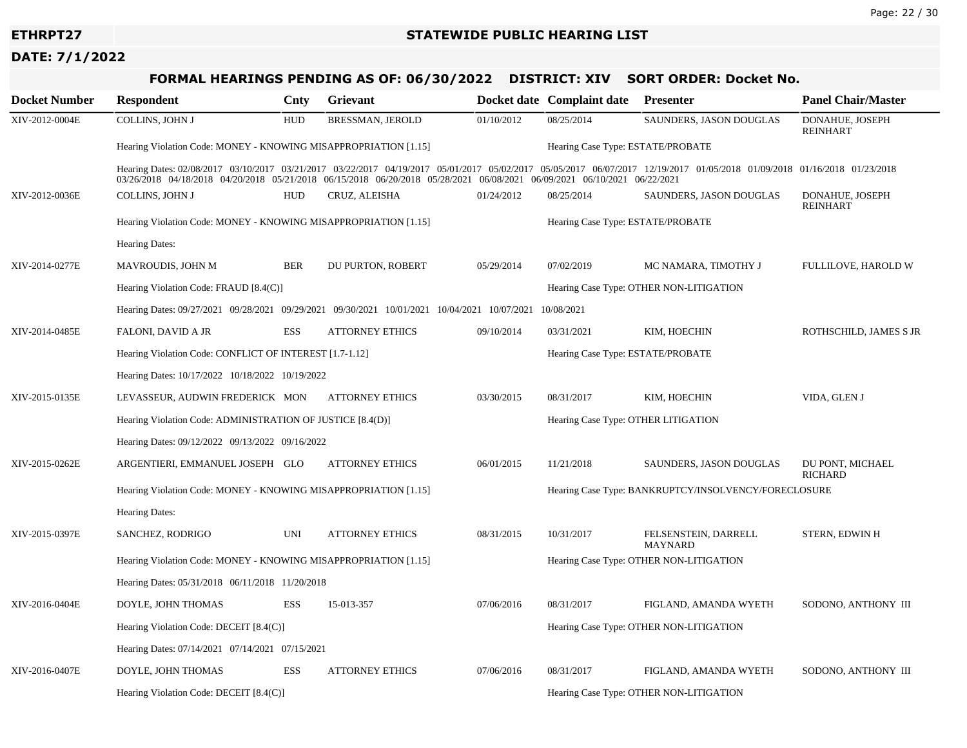# **FORMAL HEARINGS PENDING AS OF: 06/30/2022 DISTRICT: XIV SORT ORDER: Docket No.**

| <b>Docket Number</b> | <b>Respondent</b>                                                                                                                                                                                                                                                                                    | Cnty       | Grievant                |                                     | Docket date Complaint date                           | <b>Presenter</b>                        | <b>Panel Chair/Master</b>          |  |
|----------------------|------------------------------------------------------------------------------------------------------------------------------------------------------------------------------------------------------------------------------------------------------------------------------------------------------|------------|-------------------------|-------------------------------------|------------------------------------------------------|-----------------------------------------|------------------------------------|--|
| XIV-2012-0004E       | COLLINS, JOHN J                                                                                                                                                                                                                                                                                      | <b>HUD</b> | <b>BRESSMAN, JEROLD</b> | 01/10/2012                          | 08/25/2014                                           | SAUNDERS, JASON DOUGLAS                 | DONAHUE, JOSEPH<br><b>REINHART</b> |  |
|                      | Hearing Violation Code: MONEY - KNOWING MISAPPROPRIATION [1.15]                                                                                                                                                                                                                                      |            |                         |                                     | Hearing Case Type: ESTATE/PROBATE                    |                                         |                                    |  |
|                      | Hearing Dates: 02/08/2017 03/10/2017 03/21/2017 03/22/2017 04/19/2017 05/01/2017 05/02/2017 05/05/2017 06/07/2017 12/19/2017 10/05/2018 01/09/2018 01/16/2018 01/16/2018<br>03/26/2018 04/18/2018 04/20/2018 05/21/2018 06/15/2018 06/20/2018 05/28/2021 06/08/2021 06/09/2021 06/10/2021 06/22/2021 |            |                         |                                     |                                                      |                                         |                                    |  |
| XIV-2012-0036E       | COLLINS, JOHN J                                                                                                                                                                                                                                                                                      | <b>HUD</b> | CRUZ, ALEISHA           | 01/24/2012                          | 08/25/2014                                           | SAUNDERS, JASON DOUGLAS                 | DONAHUE, JOSEPH<br><b>REINHART</b> |  |
|                      | Hearing Violation Code: MONEY - KNOWING MISAPPROPRIATION [1.15]                                                                                                                                                                                                                                      |            |                         | Hearing Case Type: ESTATE/PROBATE   |                                                      |                                         |                                    |  |
|                      | <b>Hearing Dates:</b>                                                                                                                                                                                                                                                                                |            |                         |                                     |                                                      |                                         |                                    |  |
| XIV-2014-0277E       | MAVROUDIS, JOHN M                                                                                                                                                                                                                                                                                    | <b>BER</b> | DU PURTON, ROBERT       | 05/29/2014                          | 07/02/2019                                           | MC NAMARA, TIMOTHY J                    | FULLILOVE, HAROLD W                |  |
|                      | Hearing Violation Code: FRAUD [8.4(C)]                                                                                                                                                                                                                                                               |            |                         |                                     |                                                      | Hearing Case Type: OTHER NON-LITIGATION |                                    |  |
|                      | Hearing Dates: 09/27/2021 09/28/2021 09/29/2021 09/30/2021 10/01/2021 10/04/2021 10/07/2021                                                                                                                                                                                                          |            |                         |                                     | 10/08/2021                                           |                                         |                                    |  |
| XIV-2014-0485E       | FALONI, DAVID A JR                                                                                                                                                                                                                                                                                   | <b>ESS</b> | <b>ATTORNEY ETHICS</b>  | 09/10/2014                          | 03/31/2021                                           | KIM, HOECHIN                            | ROTHSCHILD, JAMES S JR             |  |
|                      | Hearing Violation Code: CONFLICT OF INTEREST [1.7-1.12]                                                                                                                                                                                                                                              |            |                         | Hearing Case Type: ESTATE/PROBATE   |                                                      |                                         |                                    |  |
|                      | Hearing Dates: 10/17/2022 10/18/2022 10/19/2022                                                                                                                                                                                                                                                      |            |                         |                                     |                                                      |                                         |                                    |  |
| XIV-2015-0135E       | LEVASSEUR, AUDWIN FREDERICK MON                                                                                                                                                                                                                                                                      |            | <b>ATTORNEY ETHICS</b>  | 03/30/2015                          | 08/31/2017                                           | KIM, HOECHIN                            | VIDA, GLEN J                       |  |
|                      | Hearing Violation Code: ADMINISTRATION OF JUSTICE [8.4(D)]                                                                                                                                                                                                                                           |            |                         | Hearing Case Type: OTHER LITIGATION |                                                      |                                         |                                    |  |
|                      | Hearing Dates: 09/12/2022 09/13/2022 09/16/2022                                                                                                                                                                                                                                                      |            |                         |                                     |                                                      |                                         |                                    |  |
| XIV-2015-0262E       | ARGENTIERI, EMMANUEL JOSEPH GLO                                                                                                                                                                                                                                                                      |            | <b>ATTORNEY ETHICS</b>  | 06/01/2015                          | 11/21/2018                                           | SAUNDERS, JASON DOUGLAS                 | DU PONT, MICHAEL<br>RICHARD        |  |
|                      | Hearing Violation Code: MONEY - KNOWING MISAPPROPRIATION [1.15]                                                                                                                                                                                                                                      |            |                         |                                     | Hearing Case Type: BANKRUPTCY/INSOLVENCY/FORECLOSURE |                                         |                                    |  |
|                      | <b>Hearing Dates:</b>                                                                                                                                                                                                                                                                                |            |                         |                                     |                                                      |                                         |                                    |  |
| XIV-2015-0397E       | SANCHEZ, RODRIGO                                                                                                                                                                                                                                                                                     | UNI        | <b>ATTORNEY ETHICS</b>  | 08/31/2015                          | 10/31/2017                                           | FELSENSTEIN, DARRELL<br><b>MAYNARD</b>  | STERN, EDWIN H                     |  |
|                      | Hearing Violation Code: MONEY - KNOWING MISAPPROPRIATION [1.15]                                                                                                                                                                                                                                      |            |                         |                                     | Hearing Case Type: OTHER NON-LITIGATION              |                                         |                                    |  |
|                      | Hearing Dates: 05/31/2018 06/11/2018 11/20/2018                                                                                                                                                                                                                                                      |            |                         |                                     |                                                      |                                         |                                    |  |
| XIV-2016-0404E       | DOYLE, JOHN THOMAS                                                                                                                                                                                                                                                                                   | <b>ESS</b> | 15-013-357              | 07/06/2016                          | 08/31/2017                                           | FIGLAND, AMANDA WYETH                   | SODONO, ANTHONY III                |  |
|                      | Hearing Violation Code: DECEIT [8.4(C)]                                                                                                                                                                                                                                                              |            |                         |                                     |                                                      | Hearing Case Type: OTHER NON-LITIGATION |                                    |  |
|                      | Hearing Dates: 07/14/2021 07/14/2021 07/15/2021                                                                                                                                                                                                                                                      |            |                         |                                     |                                                      |                                         |                                    |  |
| XIV-2016-0407E       | DOYLE, JOHN THOMAS                                                                                                                                                                                                                                                                                   | <b>ESS</b> | <b>ATTORNEY ETHICS</b>  | 07/06/2016                          | 08/31/2017                                           | FIGLAND, AMANDA WYETH                   | SODONO, ANTHONY III                |  |
|                      | Hearing Violation Code: DECEIT [8.4(C)]                                                                                                                                                                                                                                                              |            |                         |                                     |                                                      | Hearing Case Type: OTHER NON-LITIGATION |                                    |  |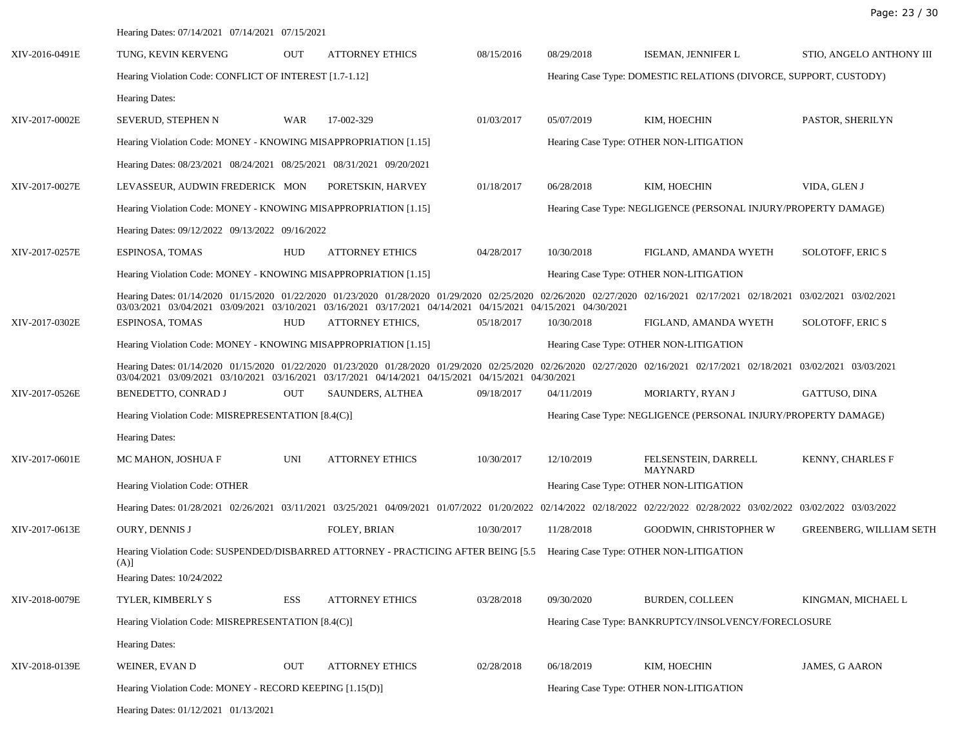|                | Hearing Dates: 07/14/2021 07/14/2021 07/15/2021                                                                                                                                                                                                                                           |                                                                   |                        |            |                                                                 |                                                                 |                                |  |  |
|----------------|-------------------------------------------------------------------------------------------------------------------------------------------------------------------------------------------------------------------------------------------------------------------------------------------|-------------------------------------------------------------------|------------------------|------------|-----------------------------------------------------------------|-----------------------------------------------------------------|--------------------------------|--|--|
| XIV-2016-0491E | TUNG, KEVIN KERVENG                                                                                                                                                                                                                                                                       | <b>OUT</b>                                                        | <b>ATTORNEY ETHICS</b> | 08/15/2016 | 08/29/2018                                                      | ISEMAN, JENNIFER L                                              | STIO, ANGELO ANTHONY III       |  |  |
|                | Hearing Violation Code: CONFLICT OF INTEREST [1.7-1.12]                                                                                                                                                                                                                                   | Hearing Case Type: DOMESTIC RELATIONS (DIVORCE, SUPPORT, CUSTODY) |                        |            |                                                                 |                                                                 |                                |  |  |
|                | Hearing Dates:                                                                                                                                                                                                                                                                            |                                                                   |                        |            |                                                                 |                                                                 |                                |  |  |
| XIV-2017-0002E | SEVERUD, STEPHEN N                                                                                                                                                                                                                                                                        | WAR                                                               | 17-002-329             | 01/03/2017 | 05/07/2019                                                      | KIM, HOECHIN                                                    | PASTOR, SHERILYN               |  |  |
|                | Hearing Violation Code: MONEY - KNOWING MISAPPROPRIATION [1.15]                                                                                                                                                                                                                           |                                                                   |                        |            | Hearing Case Type: OTHER NON-LITIGATION                         |                                                                 |                                |  |  |
|                | Hearing Dates: 08/23/2021 08/24/2021 08/25/2021 08/31/2021 09/20/2021                                                                                                                                                                                                                     |                                                                   |                        |            |                                                                 |                                                                 |                                |  |  |
| XIV-2017-0027E | LEVASSEUR, AUDWIN FREDERICK MON                                                                                                                                                                                                                                                           |                                                                   | PORETSKIN, HARVEY      | 01/18/2017 | 06/28/2018                                                      | KIM, HOECHIN                                                    | VIDA, GLEN J                   |  |  |
|                | Hearing Violation Code: MONEY - KNOWING MISAPPROPRIATION [1.15]                                                                                                                                                                                                                           |                                                                   |                        |            |                                                                 | Hearing Case Type: NEGLIGENCE (PERSONAL INJURY/PROPERTY DAMAGE) |                                |  |  |
|                | Hearing Dates: 09/12/2022 09/13/2022 09/16/2022                                                                                                                                                                                                                                           |                                                                   |                        |            |                                                                 |                                                                 |                                |  |  |
| XIV-2017-0257E | ESPINOSA, TOMAS                                                                                                                                                                                                                                                                           | <b>HUD</b>                                                        | <b>ATTORNEY ETHICS</b> | 04/28/2017 | 10/30/2018                                                      | FIGLAND, AMANDA WYETH                                           | <b>SOLOTOFF, ERIC S</b>        |  |  |
|                | Hearing Violation Code: MONEY - KNOWING MISAPPROPRIATION [1.15]                                                                                                                                                                                                                           |                                                                   |                        |            | Hearing Case Type: OTHER NON-LITIGATION                         |                                                                 |                                |  |  |
|                | Hearing Dates: 01/14/2020 01/15/2020 01/22/2020 01/23/2020 01/28/2020 01/29/2020 02/25/2020 02/26/2020 02/27/2020 02/16/2021 02/17/2021 02/18/2021 03/02/2021 03/02/2021<br>03/03/2021 03/04/2021 03/09/2021 03/10/2021 03/16/2021 03/17/2021 04/14/2021 04/15/2021 04/15/2021 04/30/2021 |                                                                   |                        |            |                                                                 |                                                                 |                                |  |  |
| XIV-2017-0302E | ESPINOSA, TOMAS                                                                                                                                                                                                                                                                           | <b>HUD</b>                                                        | ATTORNEY ETHICS,       | 05/18/2017 | 10/30/2018                                                      | FIGLAND, AMANDA WYETH                                           | SOLOTOFF, ERIC S               |  |  |
|                | Hearing Violation Code: MONEY - KNOWING MISAPPROPRIATION [1.15]                                                                                                                                                                                                                           |                                                                   |                        |            |                                                                 | Hearing Case Type: OTHER NON-LITIGATION                         |                                |  |  |
|                | Hearing Dates: 01/14/2020 01/15/2020 01/22/2020 01/23/2020 01/28/2020 01/29/2020 02/25/2020 02/26/2020 02/27/2020 02/16/2021 02/17/2021 02/18/2021 03/02/2021 03/03/2021<br>03/04/2021 03/09/2021 03/10/2021 03/16/2021 03/17/2021 04/14/2021 04/15/2021 04/15/2021 04/30/2021            |                                                                   |                        |            |                                                                 |                                                                 |                                |  |  |
| XIV-2017-0526E | BENEDETTO, CONRAD J                                                                                                                                                                                                                                                                       | <b>OUT</b>                                                        | SAUNDERS, ALTHEA       | 09/18/2017 | 04/11/2019                                                      | MORIARTY, RYAN J                                                | GATTUSO, DINA                  |  |  |
|                | Hearing Violation Code: MISREPRESENTATION [8.4(C)]                                                                                                                                                                                                                                        |                                                                   |                        |            | Hearing Case Type: NEGLIGENCE (PERSONAL INJURY/PROPERTY DAMAGE) |                                                                 |                                |  |  |
|                | Hearing Dates:                                                                                                                                                                                                                                                                            |                                                                   |                        |            |                                                                 |                                                                 |                                |  |  |
| XIV-2017-0601E | MC MAHON, JOSHUA F                                                                                                                                                                                                                                                                        | UNI                                                               | <b>ATTORNEY ETHICS</b> | 10/30/2017 | 12/10/2019                                                      | FELSENSTEIN, DARRELL<br><b>MAYNARD</b>                          | KENNY, CHARLES F               |  |  |
|                | Hearing Violation Code: OTHER                                                                                                                                                                                                                                                             |                                                                   |                        |            | Hearing Case Type: OTHER NON-LITIGATION                         |                                                                 |                                |  |  |
|                | Hearing Dates: 01/28/2021 02/26/2021 03/11/2021 03/25/2021 04/09/2021 01/07/2022 01/20/2022 02/14/2022 02/18/2022 02/22/2022 02/28/2022 03/02/2022 03/02/2022 03/03/2022                                                                                                                  |                                                                   |                        |            |                                                                 |                                                                 |                                |  |  |
| XIV-2017-0613E | <b>OURY, DENNIS J</b>                                                                                                                                                                                                                                                                     |                                                                   | FOLEY, BRIAN           | 10/30/2017 | 11/28/2018                                                      | <b>GOODWIN, CHRISTOPHER W</b>                                   | <b>GREENBERG, WILLIAM SETH</b> |  |  |
|                | Hearing Violation Code: SUSPENDED/DISBARRED ATTORNEY - PRACTICING AFTER BEING [5.5 Hearing Case Type: OTHER NON-LITIGATION<br>(A)]                                                                                                                                                        |                                                                   |                        |            |                                                                 |                                                                 |                                |  |  |
|                | Hearing Dates: 10/24/2022                                                                                                                                                                                                                                                                 |                                                                   |                        |            |                                                                 |                                                                 |                                |  |  |
| XIV-2018-0079E | TYLER, KIMBERLY S                                                                                                                                                                                                                                                                         | ESS                                                               | <b>ATTORNEY ETHICS</b> | 03/28/2018 | 09/30/2020                                                      | <b>BURDEN, COLLEEN</b>                                          | KINGMAN, MICHAEL L             |  |  |
|                | Hearing Violation Code: MISREPRESENTATION [8.4(C)]                                                                                                                                                                                                                                        |                                                                   |                        |            |                                                                 | Hearing Case Type: BANKRUPTCY/INSOLVENCY/FORECLOSURE            |                                |  |  |
|                | Hearing Dates:                                                                                                                                                                                                                                                                            |                                                                   |                        |            |                                                                 |                                                                 |                                |  |  |
| XIV-2018-0139E | WEINER, EVAN D                                                                                                                                                                                                                                                                            | OUT                                                               | <b>ATTORNEY ETHICS</b> | 02/28/2018 | 06/18/2019                                                      | KIM, HOECHIN                                                    | JAMES, G AARON                 |  |  |
|                | Hearing Violation Code: MONEY - RECORD KEEPING [1.15(D)]                                                                                                                                                                                                                                  |                                                                   |                        |            |                                                                 | Hearing Case Type: OTHER NON-LITIGATION                         |                                |  |  |
|                | Hearing Dates: 01/12/2021 01/13/2021                                                                                                                                                                                                                                                      |                                                                   |                        |            |                                                                 |                                                                 |                                |  |  |

Page: 23 / 30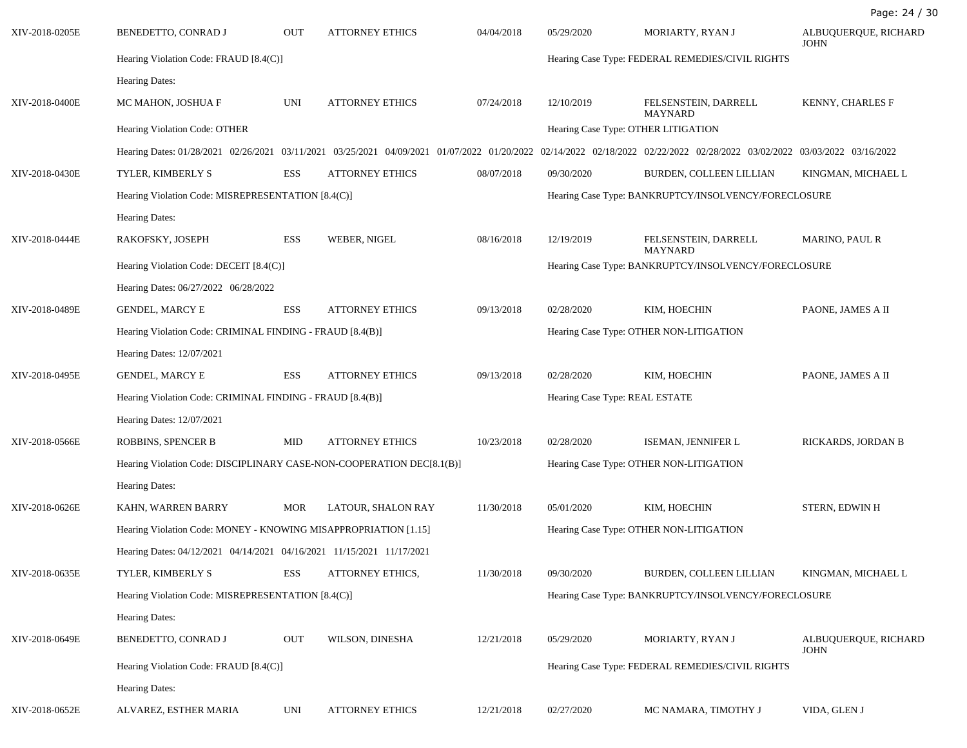XIV-2018-0205E BENEDETTO, CONRAD J OUT ATTORNEY ETHICS 04/04/2018 05/29/2020 MORIARTY, RYAN J ALBUQUERQUE, RICHARD JOHN Hearing Violation Code: FRAUD [8.4(C)] The arm of the entries of the entries of the Hearing Case Type: FEDERAL REMEDIES/CIVIL RIGHTS Hearing Dates: XIV-2018-0400E MC MAHON, JOSHUA F UNI ATTORNEY ETHICS 07/24/2018 12/10/2019 FELSENSTEIN, DARRELL MAYNARD KENNY, CHARLES F Hearing Violation Code: OTHER **Hearing Case Type: OTHER LITIGATION** Hearing Dates: 01/28/2021 02/26/2021 03/11/2021 03/25/2021 04/09/2021 01/07/2022 01/20/2022 02/14/2022 02/18/2022 02/22/2022 02/28/2022 03/02/2022 03/03/2022 03/16/2022 XIV-2018-0430E TYLER, KIMBERLY S ESS ATTORNEY ETHICS 08/07/2018 09/30/2020 BURDEN, COLLEEN LILLIAN KINGMAN, MICHAEL L Hearing Violation Code: MISREPRESENTATION [8.4(C)] Hearing Case Type: BANKRUPTCY/INSOLVENCY/FORECLOSURE Hearing Dates: XIV-2018-0444E RAKOFSKY, JOSEPH ESS WEBER, NIGEL 08/16/2018 12/19/2019 FELSENSTEIN, DARRELL MAYNARD MARINO, PAUL R Hearing Violation Code: DECEIT [8.4(C)] <br>
Hearing Case Type: BANKRUPTCY/INSOLVENCY/FORECLOSURE Hearing Dates: 06/27/2022 06/28/2022 XIV-2018-0489E GENDEL, MARCY E ESS ATTORNEY ETHICS 09/13/2018 02/28/2020 KIM, HOECHIN PAONE, JAMES A II Hearing Violation Code: CRIMINAL FINDING - FRAUD [8.4(B)] Hearing Case Type: OTHER NON-LITIGATION Hearing Dates: 12/07/2021 XIV-2018-0495E GENDEL, MARCY E ESS ATTORNEY ETHICS 09/13/2018 02/28/2020 KIM, HOECHIN PAONE, JAMES A II Hearing Violation Code: CRIMINAL FINDING - FRAUD [8.4(B)] Hearing Case Type: REAL ESTATE Hearing Dates: 12/07/2021 XIV-2018-0566E ROBBINS, SPENCER B MID ATTORNEY ETHICS 10/23/2018 02/28/2020 ISEMAN, JENNIFER L RICKARDS, JORDAN B Hearing Violation Code: DISCIPLINARY CASE-NON-COOPERATION DEC[8.1(B)] Hearing Case Type: OTHER NON-LITIGATION Hearing Dates: XIV-2018-0626E KAHN, WARREN BARRY MOR LATOUR, SHALON RAY 11/30/2018 05/01/2020 KIM, HOECHIN STERN, EDWIN H Hearing Violation Code: MONEY - KNOWING MISAPPROPRIATION [1.15] Hearing Case Type: OTHER NON-LITIGATION Hearing Dates: 04/12/2021 04/14/2021 04/16/2021 11/15/2021 11/17/2021 XIV-2018-0635E TYLER, KIMBERLY S ESS ATTORNEY ETHICS, 11/30/2018 09/30/2020 BURDEN, COLLEEN LILLIAN KINGMAN, MICHAEL L Hearing Violation Code: MISREPRESENTATION [8.4(C)] Hearing Case Type: BANKRUPTCY/INSOLVENCY/FORECLOSURE Hearing Dates: XIV-2018-0649E BENEDETTO, CONRAD J OUT WILSON, DINESHA 12/21/2018 05/29/2020 MORIARTY, RYAN J ALBUQUERQUE, RICHARD JOHN Hearing Violation Code: FRAUD [8.4(C)] The arm of the entries of the entries of the Hearing Case Type: FEDERAL REMEDIES/CIVIL RIGHTS Hearing Dates: XIV-2018-0652E ALVAREZ, ESTHER MARIA UNI ATTORNEY ETHICS 12/21/2018 02/27/2020 MC NAMARA, TIMOTHY J VIDA, GLEN J

Page: 24 / 30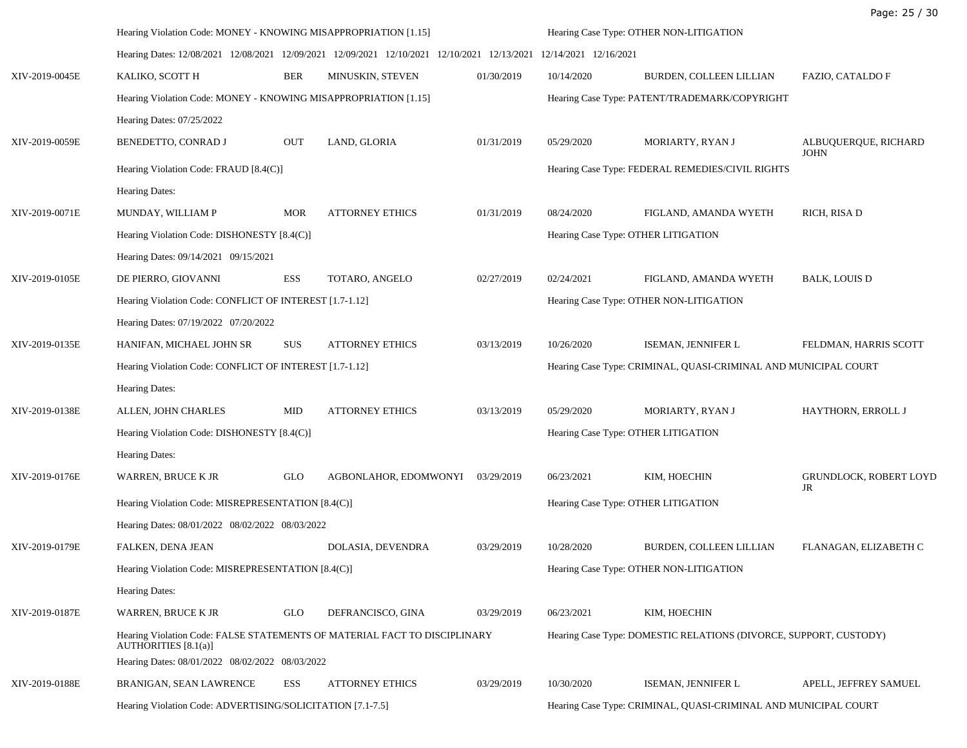|                |                                                                                                                                                      |            |                        |                                         |                                                  |                                                                   | Page: 25 / 30                       |
|----------------|------------------------------------------------------------------------------------------------------------------------------------------------------|------------|------------------------|-----------------------------------------|--------------------------------------------------|-------------------------------------------------------------------|-------------------------------------|
|                | Hearing Violation Code: MONEY - KNOWING MISAPPROPRIATION [1.15]                                                                                      |            |                        |                                         | Hearing Case Type: OTHER NON-LITIGATION          |                                                                   |                                     |
|                | Hearing Dates: 12/08/2021 12/08/2021 12/09/2021 12/09/2021 12/10/2021 12/10/2021 12/13/2021                                                          |            |                        |                                         | 12/14/2021 12/16/2021                            |                                                                   |                                     |
| XIV-2019-0045E | KALIKO, SCOTT H                                                                                                                                      | <b>BER</b> | MINUSKIN, STEVEN       | 01/30/2019                              | 10/14/2020                                       | BURDEN, COLLEEN LILLIAN                                           | FAZIO, CATALDO F                    |
|                | Hearing Violation Code: MONEY - KNOWING MISAPPROPRIATION [1.15]                                                                                      |            |                        |                                         | Hearing Case Type: PATENT/TRADEMARK/COPYRIGHT    |                                                                   |                                     |
|                | Hearing Dates: 07/25/2022                                                                                                                            |            |                        |                                         |                                                  |                                                                   |                                     |
| XIV-2019-0059E | BENEDETTO, CONRAD J                                                                                                                                  | <b>OUT</b> | LAND, GLORIA           | 01/31/2019                              | 05/29/2020                                       | MORIARTY, RYAN J                                                  | ALBUQUERQUE, RICHARD<br><b>JOHN</b> |
|                | Hearing Violation Code: FRAUD [8.4(C)]                                                                                                               |            |                        |                                         | Hearing Case Type: FEDERAL REMEDIES/CIVIL RIGHTS |                                                                   |                                     |
|                | Hearing Dates:                                                                                                                                       |            |                        |                                         |                                                  |                                                                   |                                     |
| XIV-2019-0071E | MUNDAY, WILLIAM P                                                                                                                                    | <b>MOR</b> | <b>ATTORNEY ETHICS</b> | 01/31/2019                              | 08/24/2020                                       | FIGLAND, AMANDA WYETH                                             | RICH, RISA D                        |
|                | Hearing Violation Code: DISHONESTY [8.4(C)]                                                                                                          |            |                        | Hearing Case Type: OTHER LITIGATION     |                                                  |                                                                   |                                     |
|                | Hearing Dates: 09/14/2021 09/15/2021                                                                                                                 |            |                        |                                         |                                                  |                                                                   |                                     |
| XIV-2019-0105E | DE PIERRO, GIOVANNI                                                                                                                                  | <b>ESS</b> | TOTARO, ANGELO         | 02/27/2019                              | 02/24/2021                                       | FIGLAND, AMANDA WYETH                                             | <b>BALK, LOUIS D</b>                |
|                | Hearing Violation Code: CONFLICT OF INTEREST [1.7-1.12]                                                                                              |            |                        | Hearing Case Type: OTHER NON-LITIGATION |                                                  |                                                                   |                                     |
|                | Hearing Dates: 07/19/2022 07/20/2022                                                                                                                 |            |                        |                                         |                                                  |                                                                   |                                     |
| XIV-2019-0135E | HANIFAN, MICHAEL JOHN SR                                                                                                                             | <b>SUS</b> | <b>ATTORNEY ETHICS</b> | 03/13/2019                              | 10/26/2020                                       | ISEMAN, JENNIFER L                                                | FELDMAN, HARRIS SCOTT               |
|                | Hearing Violation Code: CONFLICT OF INTEREST [1.7-1.12]                                                                                              |            |                        |                                         |                                                  | Hearing Case Type: CRIMINAL, QUASI-CRIMINAL AND MUNICIPAL COURT   |                                     |
|                | <b>Hearing Dates:</b>                                                                                                                                |            |                        |                                         |                                                  |                                                                   |                                     |
| XIV-2019-0138E | ALLEN, JOHN CHARLES                                                                                                                                  | MID        | <b>ATTORNEY ETHICS</b> | 03/13/2019                              | 05/29/2020                                       | MORIARTY, RYAN J                                                  | HAYTHORN, ERROLL J                  |
|                | Hearing Violation Code: DISHONESTY [8.4(C)]                                                                                                          |            |                        | Hearing Case Type: OTHER LITIGATION     |                                                  |                                                                   |                                     |
|                | Hearing Dates:                                                                                                                                       |            |                        |                                         |                                                  |                                                                   |                                     |
| XIV-2019-0176E | WARREN, BRUCE K JR                                                                                                                                   | <b>GLO</b> | AGBONLAHOR, EDOMWONYI  | 03/29/2019                              | 06/23/2021                                       | KIM, HOECHIN                                                      | <b>GRUNDLOCK, ROBERT LOYD</b><br>JR |
|                | Hearing Violation Code: MISREPRESENTATION [8.4(C)]                                                                                                   |            |                        |                                         | Hearing Case Type: OTHER LITIGATION              |                                                                   |                                     |
|                | Hearing Dates: 08/01/2022 08/02/2022 08/03/2022                                                                                                      |            |                        |                                         |                                                  |                                                                   |                                     |
| XIV-2019-0179E | FALKEN, DENA JEAN                                                                                                                                    |            | DOLASIA, DEVENDRA      | 03/29/2019                              | 10/28/2020                                       | <b>BURDEN, COLLEEN LILLIAN</b>                                    | FLANAGAN, ELIZABETH C               |
|                | Hearing Violation Code: MISREPRESENTATION [8.4(C)]                                                                                                   |            |                        |                                         |                                                  | Hearing Case Type: OTHER NON-LITIGATION                           |                                     |
|                | <b>Hearing Dates:</b>                                                                                                                                |            |                        |                                         |                                                  |                                                                   |                                     |
| XIV-2019-0187E | WARREN, BRUCE K JR                                                                                                                                   | <b>GLO</b> | DEFRANCISCO, GINA      | 03/29/2019                              | 06/23/2021                                       | KIM, HOECHIN                                                      |                                     |
|                | Hearing Violation Code: FALSE STATEMENTS OF MATERIAL FACT TO DISCIPLINARY<br>AUTHORITIES [8.1(a)]<br>Hearing Dates: 08/01/2022 08/02/2022 08/03/2022 |            |                        |                                         |                                                  | Hearing Case Type: DOMESTIC RELATIONS (DIVORCE, SUPPORT, CUSTODY) |                                     |
| XIV-2019-0188E | BRANIGAN, SEAN LAWRENCE                                                                                                                              | ESS        | <b>ATTORNEY ETHICS</b> | 03/29/2019                              | 10/30/2020                                       | ISEMAN, JENNIFER L                                                | APELL, JEFFREY SAMUEL               |
|                | Hearing Violation Code: ADVERTISING/SOLICITATION [7.1-7.5]                                                                                           |            |                        |                                         |                                                  | Hearing Case Type: CRIMINAL, QUASI-CRIMINAL AND MUNICIPAL COURT   |                                     |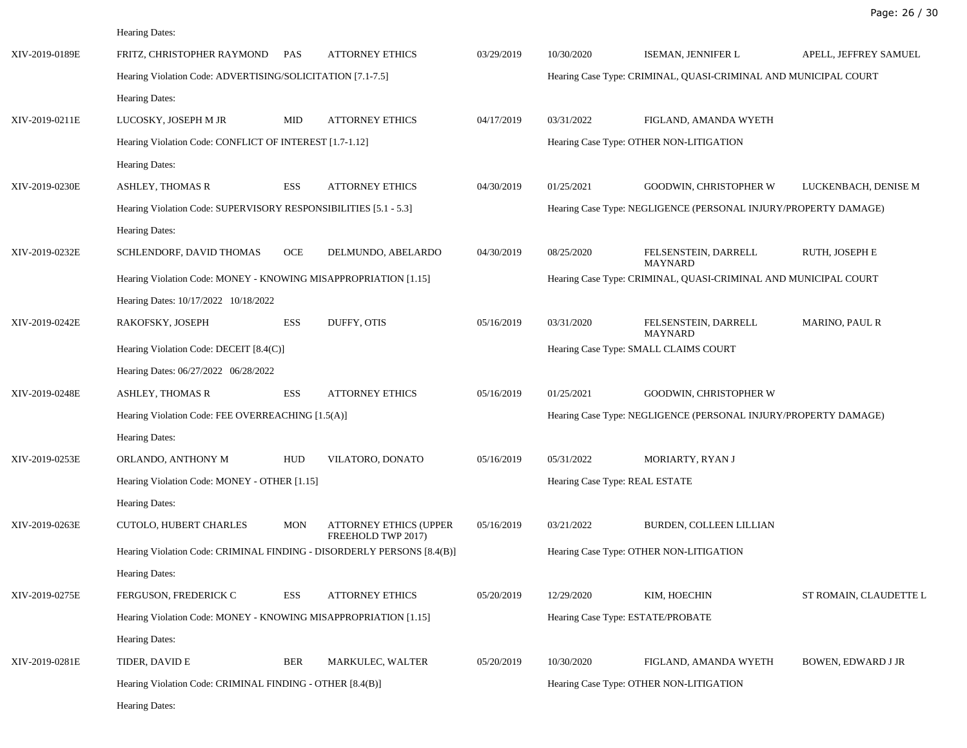Hearing Dates:

| XIV-2019-0189E | FRITZ, CHRISTOPHER RAYMOND                                             | PAS        | <b>ATTORNEY ETHICS</b>                              | 03/29/2019 | 10/30/2020                                                      | ISEMAN, JENNIFER L                                              | APELL, JEFFREY SAMUEL     |
|----------------|------------------------------------------------------------------------|------------|-----------------------------------------------------|------------|-----------------------------------------------------------------|-----------------------------------------------------------------|---------------------------|
|                | Hearing Violation Code: ADVERTISING/SOLICITATION [7.1-7.5]             |            |                                                     |            |                                                                 | Hearing Case Type: CRIMINAL, QUASI-CRIMINAL AND MUNICIPAL COURT |                           |
|                | Hearing Dates:                                                         |            |                                                     |            |                                                                 |                                                                 |                           |
| XIV-2019-0211E | LUCOSKY, JOSEPH M JR                                                   | MID        | <b>ATTORNEY ETHICS</b>                              | 04/17/2019 | 03/31/2022                                                      | FIGLAND, AMANDA WYETH                                           |                           |
|                | Hearing Violation Code: CONFLICT OF INTEREST [1.7-1.12]                |            |                                                     |            |                                                                 | Hearing Case Type: OTHER NON-LITIGATION                         |                           |
|                | <b>Hearing Dates:</b>                                                  |            |                                                     |            |                                                                 |                                                                 |                           |
| XIV-2019-0230E | <b>ASHLEY, THOMAS R</b>                                                | ESS        | <b>ATTORNEY ETHICS</b>                              | 04/30/2019 | 01/25/2021                                                      | <b>GOODWIN, CHRISTOPHER W</b>                                   | LUCKENBACH, DENISE M      |
|                | Hearing Violation Code: SUPERVISORY RESPONSIBILITIES [5.1 - 5.3]       |            |                                                     |            |                                                                 | Hearing Case Type: NEGLIGENCE (PERSONAL INJURY/PROPERTY DAMAGE) |                           |
|                | Hearing Dates:                                                         |            |                                                     |            |                                                                 |                                                                 |                           |
| XIV-2019-0232E | SCHLENDORF, DAVID THOMAS                                               | OCE        | DELMUNDO, ABELARDO                                  | 04/30/2019 | 08/25/2020                                                      | FELSENSTEIN, DARRELL<br><b>MAYNARD</b>                          | RUTH, JOSEPH E            |
|                | Hearing Violation Code: MONEY - KNOWING MISAPPROPRIATION [1.15]        |            |                                                     |            | Hearing Case Type: CRIMINAL, QUASI-CRIMINAL AND MUNICIPAL COURT |                                                                 |                           |
|                | Hearing Dates: 10/17/2022 10/18/2022                                   |            |                                                     |            |                                                                 |                                                                 |                           |
| XIV-2019-0242E | RAKOFSKY, JOSEPH                                                       | ESS        | DUFFY, OTIS                                         | 05/16/2019 | 03/31/2020                                                      | FELSENSTEIN, DARRELL<br><b>MAYNARD</b>                          | <b>MARINO, PAUL R</b>     |
|                | Hearing Violation Code: DECEIT [8.4(C)]                                |            |                                                     |            |                                                                 | Hearing Case Type: SMALL CLAIMS COURT                           |                           |
|                | Hearing Dates: 06/27/2022 06/28/2022                                   |            |                                                     |            |                                                                 |                                                                 |                           |
| XIV-2019-0248E | <b>ASHLEY, THOMAS R</b>                                                | <b>ESS</b> | <b>ATTORNEY ETHICS</b>                              | 05/16/2019 | 01/25/2021                                                      | GOODWIN, CHRISTOPHER W                                          |                           |
|                | Hearing Violation Code: FEE OVERREACHING [1.5(A)]                      |            |                                                     |            | Hearing Case Type: NEGLIGENCE (PERSONAL INJURY/PROPERTY DAMAGE) |                                                                 |                           |
|                | Hearing Dates:                                                         |            |                                                     |            |                                                                 |                                                                 |                           |
| XIV-2019-0253E | ORLANDO, ANTHONY M                                                     | <b>HUD</b> | VILATORO, DONATO                                    | 05/16/2019 | 05/31/2022                                                      | MORIARTY, RYAN J                                                |                           |
|                | Hearing Violation Code: MONEY - OTHER [1.15]                           |            |                                                     |            | Hearing Case Type: REAL ESTATE                                  |                                                                 |                           |
|                | Hearing Dates:                                                         |            |                                                     |            |                                                                 |                                                                 |                           |
| XIV-2019-0263E | CUTOLO, HUBERT CHARLES                                                 | <b>MON</b> | <b>ATTORNEY ETHICS (UPPER</b><br>FREEHOLD TWP 2017) | 05/16/2019 | 03/21/2022                                                      | BURDEN, COLLEEN LILLIAN                                         |                           |
|                | Hearing Violation Code: CRIMINAL FINDING - DISORDERLY PERSONS [8.4(B)] |            |                                                     |            |                                                                 | Hearing Case Type: OTHER NON-LITIGATION                         |                           |
|                | Hearing Dates:                                                         |            |                                                     |            |                                                                 |                                                                 |                           |
| XIV-2019-0275E | FERGUSON, FREDERICK C                                                  | ESS        | <b>ATTORNEY ETHICS</b>                              | 05/20/2019 | 12/29/2020                                                      | KIM, HOECHIN                                                    | ST ROMAIN, CLAUDETTE L    |
|                | Hearing Violation Code: MONEY - KNOWING MISAPPROPRIATION [1.15]        |            |                                                     |            |                                                                 | Hearing Case Type: ESTATE/PROBATE                               |                           |
|                | Hearing Dates:                                                         |            |                                                     |            |                                                                 |                                                                 |                           |
| XIV-2019-0281E | TIDER, DAVID E                                                         | BER        | MARKULEC, WALTER                                    | 05/20/2019 | 10/30/2020                                                      | FIGLAND, AMANDA WYETH                                           | <b>BOWEN, EDWARD J JR</b> |
|                | Hearing Violation Code: CRIMINAL FINDING - OTHER [8.4(B)]              |            |                                                     |            |                                                                 | Hearing Case Type: OTHER NON-LITIGATION                         |                           |
|                | Hearing Dates:                                                         |            |                                                     |            |                                                                 |                                                                 |                           |
|                |                                                                        |            |                                                     |            |                                                                 |                                                                 |                           |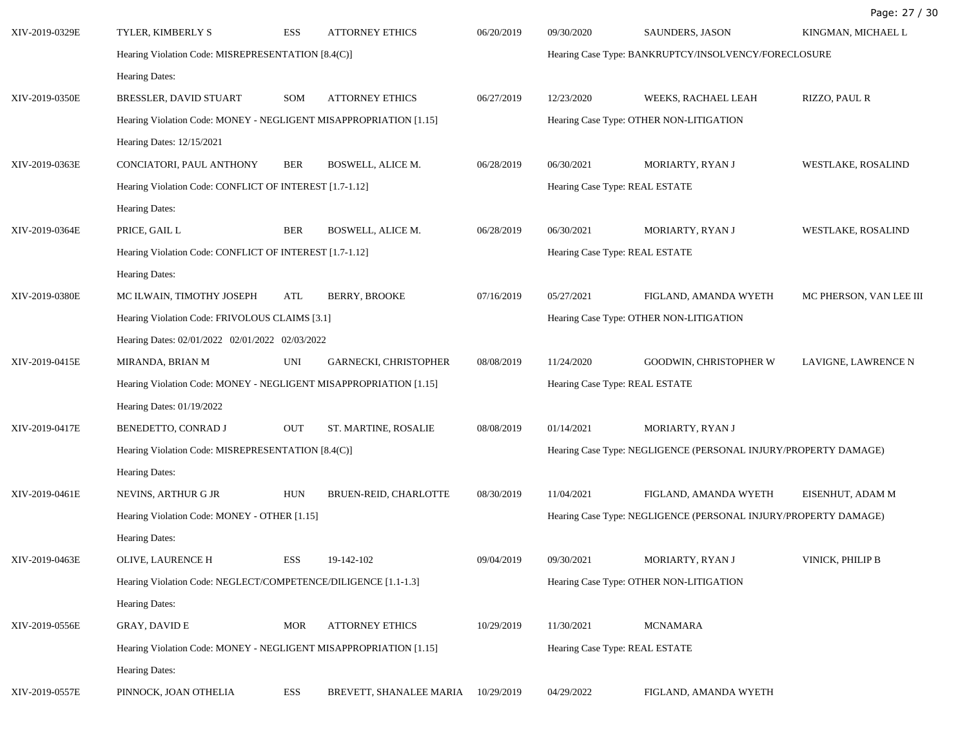| XIV-2019-0329E | TYLER, KIMBERLY S                                                 | ESS        | <b>ATTORNEY ETHICS</b>  | 06/20/2019                                                      | 09/30/2020                              | SAUNDERS, JASON                         | KINGMAN, MICHAEL L      |  |
|----------------|-------------------------------------------------------------------|------------|-------------------------|-----------------------------------------------------------------|-----------------------------------------|-----------------------------------------|-------------------------|--|
|                | Hearing Violation Code: MISREPRESENTATION [8.4(C)]                |            |                         | Hearing Case Type: BANKRUPTCY/INSOLVENCY/FORECLOSURE            |                                         |                                         |                         |  |
|                | Hearing Dates:                                                    |            |                         |                                                                 |                                         |                                         |                         |  |
| XIV-2019-0350E | BRESSLER, DAVID STUART                                            | SOM        | <b>ATTORNEY ETHICS</b>  | 06/27/2019                                                      | 12/23/2020                              | WEEKS, RACHAEL LEAH                     | RIZZO, PAUL R           |  |
|                | Hearing Violation Code: MONEY - NEGLIGENT MISAPPROPRIATION [1.15] |            |                         |                                                                 |                                         | Hearing Case Type: OTHER NON-LITIGATION |                         |  |
|                | Hearing Dates: 12/15/2021                                         |            |                         |                                                                 |                                         |                                         |                         |  |
| XIV-2019-0363E | CONCIATORI, PAUL ANTHONY                                          | <b>BER</b> | BOSWELL, ALICE M.       | 06/28/2019                                                      | 06/30/2021                              | MORIARTY, RYAN J                        | WESTLAKE, ROSALIND      |  |
|                | Hearing Violation Code: CONFLICT OF INTEREST [1.7-1.12]           |            |                         |                                                                 |                                         | Hearing Case Type: REAL ESTATE          |                         |  |
|                | Hearing Dates:                                                    |            |                         |                                                                 |                                         |                                         |                         |  |
| XIV-2019-0364E | PRICE, GAIL L                                                     | <b>BER</b> | BOSWELL, ALICE M.       | 06/28/2019                                                      | 06/30/2021                              | MORIARTY, RYAN J                        | WESTLAKE, ROSALIND      |  |
|                | Hearing Violation Code: CONFLICT OF INTEREST [1.7-1.12]           |            |                         |                                                                 | Hearing Case Type: REAL ESTATE          |                                         |                         |  |
|                | Hearing Dates:                                                    |            |                         |                                                                 |                                         |                                         |                         |  |
| XIV-2019-0380E | MC ILWAIN, TIMOTHY JOSEPH                                         | ATL        | <b>BERRY, BROOKE</b>    | 07/16/2019                                                      | 05/27/2021                              | FIGLAND, AMANDA WYETH                   | MC PHERSON, VAN LEE III |  |
|                | Hearing Violation Code: FRIVOLOUS CLAIMS [3.1]                    |            |                         |                                                                 | Hearing Case Type: OTHER NON-LITIGATION |                                         |                         |  |
|                | Hearing Dates: 02/01/2022 02/01/2022 02/03/2022                   |            |                         |                                                                 |                                         |                                         |                         |  |
| XIV-2019-0415E | MIRANDA, BRIAN M                                                  | UNI        | GARNECKI, CHRISTOPHER   | 08/08/2019                                                      | 11/24/2020                              | GOODWIN, CHRISTOPHER W                  | LAVIGNE, LAWRENCE N     |  |
|                | Hearing Violation Code: MONEY - NEGLIGENT MISAPPROPRIATION [1.15] |            |                         | Hearing Case Type: REAL ESTATE                                  |                                         |                                         |                         |  |
|                | Hearing Dates: 01/19/2022                                         |            |                         |                                                                 |                                         |                                         |                         |  |
| XIV-2019-0417E | BENEDETTO, CONRAD J                                               | <b>OUT</b> | ST. MARTINE, ROSALIE    | 08/08/2019                                                      | 01/14/2021                              | MORIARTY, RYAN J                        |                         |  |
|                | Hearing Violation Code: MISREPRESENTATION [8.4(C)]                |            |                         | Hearing Case Type: NEGLIGENCE (PERSONAL INJURY/PROPERTY DAMAGE) |                                         |                                         |                         |  |
|                | Hearing Dates:                                                    |            |                         |                                                                 |                                         |                                         |                         |  |
| XIV-2019-0461E | NEVINS, ARTHUR G JR                                               | <b>HUN</b> | BRUEN-REID, CHARLOTTE   | 08/30/2019                                                      | 11/04/2021                              | FIGLAND, AMANDA WYETH                   | EISENHUT, ADAM M        |  |
|                | Hearing Violation Code: MONEY - OTHER [1.15]                      |            |                         | Hearing Case Type: NEGLIGENCE (PERSONAL INJURY/PROPERTY DAMAGE) |                                         |                                         |                         |  |
|                | <b>Hearing Dates:</b>                                             |            |                         |                                                                 |                                         |                                         |                         |  |
| XIV-2019-0463E | OLIVE, LAURENCE H                                                 | ESS        | 19-142-102              | 09/04/2019                                                      | 09/30/2021                              | MORIARTY, RYAN J                        | VINICK, PHILIP B        |  |
|                | Hearing Violation Code: NEGLECT/COMPETENCE/DILIGENCE [1.1-1.3]    |            |                         | Hearing Case Type: OTHER NON-LITIGATION                         |                                         |                                         |                         |  |
|                | Hearing Dates:                                                    |            |                         |                                                                 |                                         |                                         |                         |  |
| XIV-2019-0556E | GRAY, DAVID E                                                     | <b>MOR</b> | <b>ATTORNEY ETHICS</b>  | 10/29/2019                                                      | 11/30/2021                              | <b>MCNAMARA</b>                         |                         |  |
|                | Hearing Violation Code: MONEY - NEGLIGENT MISAPPROPRIATION [1.15] |            |                         | Hearing Case Type: REAL ESTATE                                  |                                         |                                         |                         |  |
|                | <b>Hearing Dates:</b>                                             |            |                         |                                                                 |                                         |                                         |                         |  |
| XIV-2019-0557E | PINNOCK, JOAN OTHELIA                                             | ESS        | BREVETT, SHANALEE MARIA | 10/29/2019                                                      | 04/29/2022                              | FIGLAND, AMANDA WYETH                   |                         |  |

Page: 27 / 30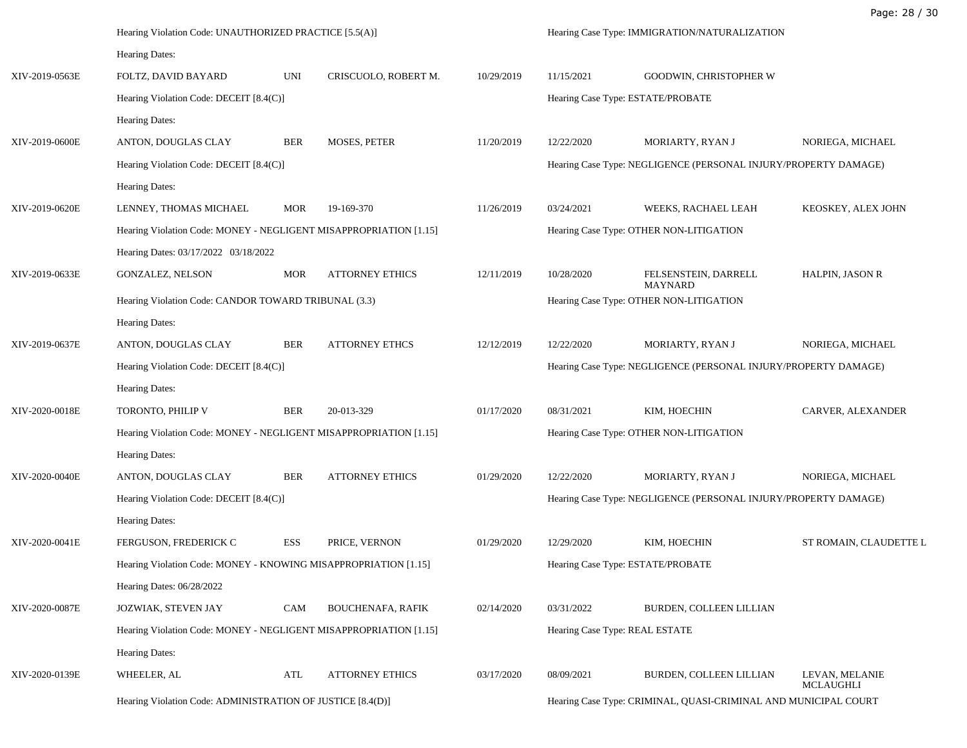|                | Hearing Violation Code: UNAUTHORIZED PRACTICE [5.5(A)]            |            |                          |                                                                 | Hearing Case Type: IMMIGRATION/NATURALIZATION                   |                                                                 |                                    |
|----------------|-------------------------------------------------------------------|------------|--------------------------|-----------------------------------------------------------------|-----------------------------------------------------------------|-----------------------------------------------------------------|------------------------------------|
|                | <b>Hearing Dates:</b>                                             |            |                          |                                                                 |                                                                 |                                                                 |                                    |
| XIV-2019-0563E | FOLTZ, DAVID BAYARD                                               | UNI        | CRISCUOLO, ROBERT M.     | 10/29/2019                                                      | 11/15/2021                                                      | <b>GOODWIN, CHRISTOPHER W</b>                                   |                                    |
|                | Hearing Violation Code: DECEIT [8.4(C)]                           |            |                          |                                                                 | Hearing Case Type: ESTATE/PROBATE                               |                                                                 |                                    |
|                | Hearing Dates:                                                    |            |                          |                                                                 |                                                                 |                                                                 |                                    |
| XIV-2019-0600E | ANTON, DOUGLAS CLAY                                               | <b>BER</b> | MOSES, PETER             | 11/20/2019                                                      | 12/22/2020                                                      | MORIARTY, RYAN J                                                | NORIEGA, MICHAEL                   |
|                | Hearing Violation Code: DECEIT [8.4(C)]                           |            |                          |                                                                 |                                                                 | Hearing Case Type: NEGLIGENCE (PERSONAL INJURY/PROPERTY DAMAGE) |                                    |
|                | Hearing Dates:                                                    |            |                          |                                                                 |                                                                 |                                                                 |                                    |
| XIV-2019-0620E | LENNEY, THOMAS MICHAEL                                            | <b>MOR</b> | 19-169-370               | 11/26/2019                                                      | 03/24/2021                                                      | WEEKS, RACHAEL LEAH                                             | KEOSKEY, ALEX JOHN                 |
|                | Hearing Violation Code: MONEY - NEGLIGENT MISAPPROPRIATION [1.15] |            |                          |                                                                 |                                                                 | Hearing Case Type: OTHER NON-LITIGATION                         |                                    |
|                | Hearing Dates: 03/17/2022 03/18/2022                              |            |                          |                                                                 |                                                                 |                                                                 |                                    |
| XIV-2019-0633E | GONZALEZ, NELSON                                                  | <b>MOR</b> | <b>ATTORNEY ETHICS</b>   | 12/11/2019                                                      | 10/28/2020                                                      | FELSENSTEIN, DARRELL<br><b>MAYNARD</b>                          | <b>HALPIN, JASON R</b>             |
|                | Hearing Violation Code: CANDOR TOWARD TRIBUNAL (3.3)              |            |                          | Hearing Case Type: OTHER NON-LITIGATION                         |                                                                 |                                                                 |                                    |
|                | Hearing Dates:                                                    |            |                          |                                                                 |                                                                 |                                                                 |                                    |
| XIV-2019-0637E | ANTON, DOUGLAS CLAY                                               | <b>BER</b> | <b>ATTORNEY ETHCS</b>    | 12/12/2019                                                      | 12/22/2020                                                      | MORIARTY, RYAN J                                                | NORIEGA, MICHAEL                   |
|                | Hearing Violation Code: DECEIT [8.4(C)]                           |            |                          |                                                                 | Hearing Case Type: NEGLIGENCE (PERSONAL INJURY/PROPERTY DAMAGE) |                                                                 |                                    |
|                | Hearing Dates:                                                    |            |                          |                                                                 |                                                                 |                                                                 |                                    |
| XIV-2020-0018E | TORONTO, PHILIP V                                                 | <b>BER</b> | 20-013-329               | 01/17/2020                                                      | 08/31/2021                                                      | KIM, HOECHIN                                                    | CARVER, ALEXANDER                  |
|                | Hearing Violation Code: MONEY - NEGLIGENT MISAPPROPRIATION [1.15] |            |                          |                                                                 | Hearing Case Type: OTHER NON-LITIGATION                         |                                                                 |                                    |
|                | Hearing Dates:                                                    |            |                          |                                                                 |                                                                 |                                                                 |                                    |
| XIV-2020-0040E | ANTON, DOUGLAS CLAY                                               | <b>BER</b> | <b>ATTORNEY ETHICS</b>   | 01/29/2020                                                      | 12/22/2020                                                      | MORIARTY, RYAN J                                                | NORIEGA, MICHAEL                   |
|                | Hearing Violation Code: DECEIT [8.4(C)]                           |            |                          |                                                                 | Hearing Case Type: NEGLIGENCE (PERSONAL INJURY/PROPERTY DAMAGE) |                                                                 |                                    |
|                | Hearing Dates:                                                    |            |                          |                                                                 |                                                                 |                                                                 |                                    |
| XIV-2020-0041E | FERGUSON, FREDERICK C                                             | ESS        | PRICE, VERNON            | 01/29/2020                                                      | 12/29/2020                                                      | KIM, HOECHIN                                                    | ST ROMAIN, CLAUDETTE L             |
|                | Hearing Violation Code: MONEY - KNOWING MISAPPROPRIATION [1.15]   |            |                          | Hearing Case Type: ESTATE/PROBATE                               |                                                                 |                                                                 |                                    |
|                | Hearing Dates: 06/28/2022                                         |            |                          |                                                                 |                                                                 |                                                                 |                                    |
| XIV-2020-0087E | JOZWIAK, STEVEN JAY                                               | <b>CAM</b> | <b>BOUCHENAFA, RAFIK</b> | 02/14/2020                                                      | 03/31/2022                                                      | BURDEN, COLLEEN LILLIAN                                         |                                    |
|                | Hearing Violation Code: MONEY - NEGLIGENT MISAPPROPRIATION [1.15] |            |                          | Hearing Case Type: REAL ESTATE                                  |                                                                 |                                                                 |                                    |
|                | <b>Hearing Dates:</b>                                             |            |                          |                                                                 |                                                                 |                                                                 |                                    |
| XIV-2020-0139E | WHEELER, AL                                                       | ATL        | <b>ATTORNEY ETHICS</b>   | 03/17/2020                                                      | 08/09/2021                                                      | BURDEN, COLLEEN LILLIAN                                         | LEVAN, MELANIE<br><b>MCLAUGHLI</b> |
|                | Hearing Violation Code: ADMINISTRATION OF JUSTICE [8.4(D)]        |            |                          | Hearing Case Type: CRIMINAL, QUASI-CRIMINAL AND MUNICIPAL COURT |                                                                 |                                                                 |                                    |

Page: 28 / 30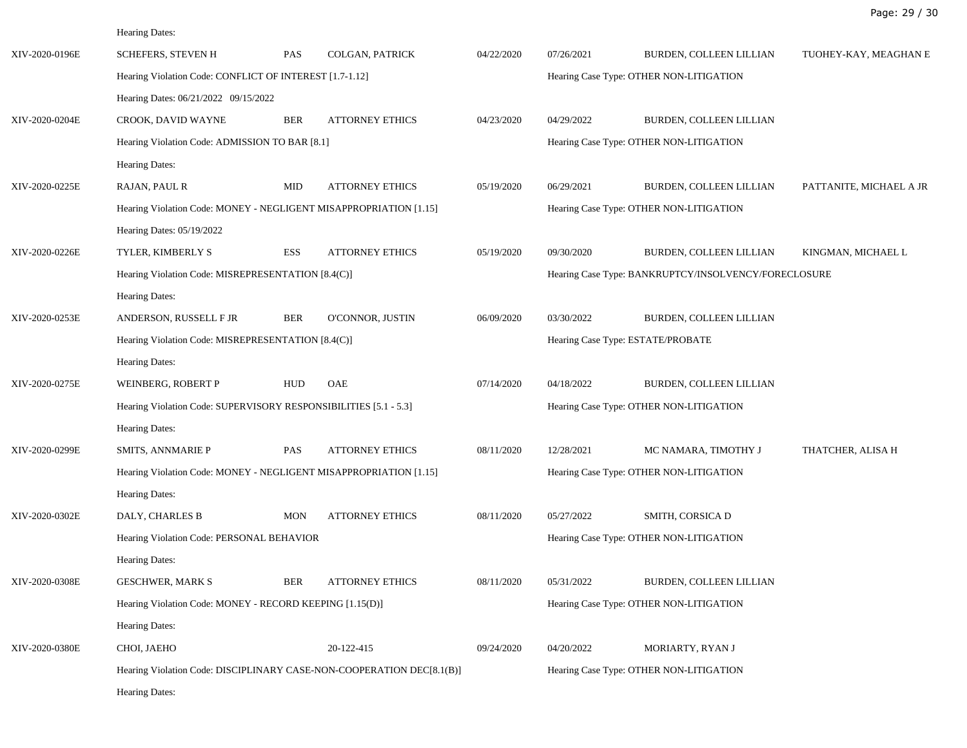| XIV-2020-0196E | <b>SCHEFERS, STEVEN H</b>                                         | <b>PAS</b> | COLGAN, PATRICK                                                       | 04/22/2020                              | 07/26/2021                              | BURDEN, COLLEEN LILLIAN                              | TUOHEY-KAY, MEAGHAN E   |  |  |
|----------------|-------------------------------------------------------------------|------------|-----------------------------------------------------------------------|-----------------------------------------|-----------------------------------------|------------------------------------------------------|-------------------------|--|--|
|                | Hearing Violation Code: CONFLICT OF INTEREST [1.7-1.12]           |            |                                                                       |                                         | Hearing Case Type: OTHER NON-LITIGATION |                                                      |                         |  |  |
|                | Hearing Dates: 06/21/2022 09/15/2022                              |            |                                                                       |                                         |                                         |                                                      |                         |  |  |
| XIV-2020-0204E | CROOK, DAVID WAYNE                                                | <b>BER</b> | <b>ATTORNEY ETHICS</b>                                                | 04/23/2020                              | 04/29/2022                              | BURDEN, COLLEEN LILLIAN                              |                         |  |  |
|                | Hearing Violation Code: ADMISSION TO BAR [8.1]                    |            |                                                                       |                                         |                                         | Hearing Case Type: OTHER NON-LITIGATION              |                         |  |  |
|                | Hearing Dates:                                                    |            |                                                                       |                                         |                                         |                                                      |                         |  |  |
| XIV-2020-0225E | RAJAN, PAUL R                                                     | MID        | <b>ATTORNEY ETHICS</b>                                                | 05/19/2020                              | 06/29/2021                              | BURDEN, COLLEEN LILLIAN                              | PATTANITE, MICHAEL A JR |  |  |
|                | Hearing Violation Code: MONEY - NEGLIGENT MISAPPROPRIATION [1.15] |            |                                                                       |                                         |                                         | Hearing Case Type: OTHER NON-LITIGATION              |                         |  |  |
|                | Hearing Dates: 05/19/2022                                         |            |                                                                       |                                         |                                         |                                                      |                         |  |  |
| XIV-2020-0226E | TYLER, KIMBERLY S                                                 | ESS        | <b>ATTORNEY ETHICS</b>                                                | 05/19/2020                              | 09/30/2020                              | BURDEN, COLLEEN LILLIAN                              | KINGMAN, MICHAEL L      |  |  |
|                | Hearing Violation Code: MISREPRESENTATION [8.4(C)]                |            |                                                                       |                                         |                                         | Hearing Case Type: BANKRUPTCY/INSOLVENCY/FORECLOSURE |                         |  |  |
|                | Hearing Dates:                                                    |            |                                                                       |                                         |                                         |                                                      |                         |  |  |
| XIV-2020-0253E | ANDERSON, RUSSELL F JR                                            | <b>BER</b> | O'CONNOR, JUSTIN                                                      | 06/09/2020                              | 03/30/2022                              | BURDEN, COLLEEN LILLIAN                              |                         |  |  |
|                | Hearing Violation Code: MISREPRESENTATION [8.4(C)]                |            |                                                                       |                                         |                                         | Hearing Case Type: ESTATE/PROBATE                    |                         |  |  |
|                | Hearing Dates:                                                    |            |                                                                       |                                         |                                         |                                                      |                         |  |  |
| XIV-2020-0275E | WEINBERG, ROBERT P                                                | HUD        | OAE                                                                   | 07/14/2020                              | 04/18/2022                              | BURDEN, COLLEEN LILLIAN                              |                         |  |  |
|                | Hearing Violation Code: SUPERVISORY RESPONSIBILITIES [5.1 - 5.3]  |            |                                                                       |                                         | Hearing Case Type: OTHER NON-LITIGATION |                                                      |                         |  |  |
|                | Hearing Dates:                                                    |            |                                                                       |                                         |                                         |                                                      |                         |  |  |
| XIV-2020-0299E | SMITS, ANNMARIE P                                                 | <b>PAS</b> | <b>ATTORNEY ETHICS</b>                                                | 08/11/2020                              | 12/28/2021                              | MC NAMARA, TIMOTHY J                                 | THATCHER, ALISA H       |  |  |
|                | Hearing Violation Code: MONEY - NEGLIGENT MISAPPROPRIATION [1.15] |            |                                                                       |                                         | Hearing Case Type: OTHER NON-LITIGATION |                                                      |                         |  |  |
|                | Hearing Dates:                                                    |            |                                                                       |                                         |                                         |                                                      |                         |  |  |
| XIV-2020-0302E | DALY, CHARLES B                                                   | <b>MON</b> | <b>ATTORNEY ETHICS</b>                                                | 08/11/2020                              | 05/27/2022                              | SMITH, CORSICA D                                     |                         |  |  |
|                | Hearing Violation Code: PERSONAL BEHAVIOR                         |            |                                                                       | Hearing Case Type: OTHER NON-LITIGATION |                                         |                                                      |                         |  |  |
|                | Hearing Dates:                                                    |            |                                                                       |                                         |                                         |                                                      |                         |  |  |
| XIV-2020-0308E | <b>GESCHWER, MARK S</b>                                           | BER        | <b>ATTORNEY ETHICS</b>                                                | 08/11/2020                              | 05/31/2022                              | BURDEN, COLLEEN LILLIAN                              |                         |  |  |
|                | Hearing Violation Code: MONEY - RECORD KEEPING [1.15(D)]          |            |                                                                       | Hearing Case Type: OTHER NON-LITIGATION |                                         |                                                      |                         |  |  |
|                | Hearing Dates:                                                    |            |                                                                       |                                         |                                         |                                                      |                         |  |  |
| XIV-2020-0380E | CHOI, JAEHO                                                       |            | 20-122-415                                                            | 09/24/2020                              | 04/20/2022                              | MORIARTY, RYAN J                                     |                         |  |  |
|                |                                                                   |            | Hearing Violation Code: DISCIPLINARY CASE-NON-COOPERATION DEC[8.1(B)] | Hearing Case Type: OTHER NON-LITIGATION |                                         |                                                      |                         |  |  |
|                | Hearing Dates:                                                    |            |                                                                       |                                         |                                         |                                                      |                         |  |  |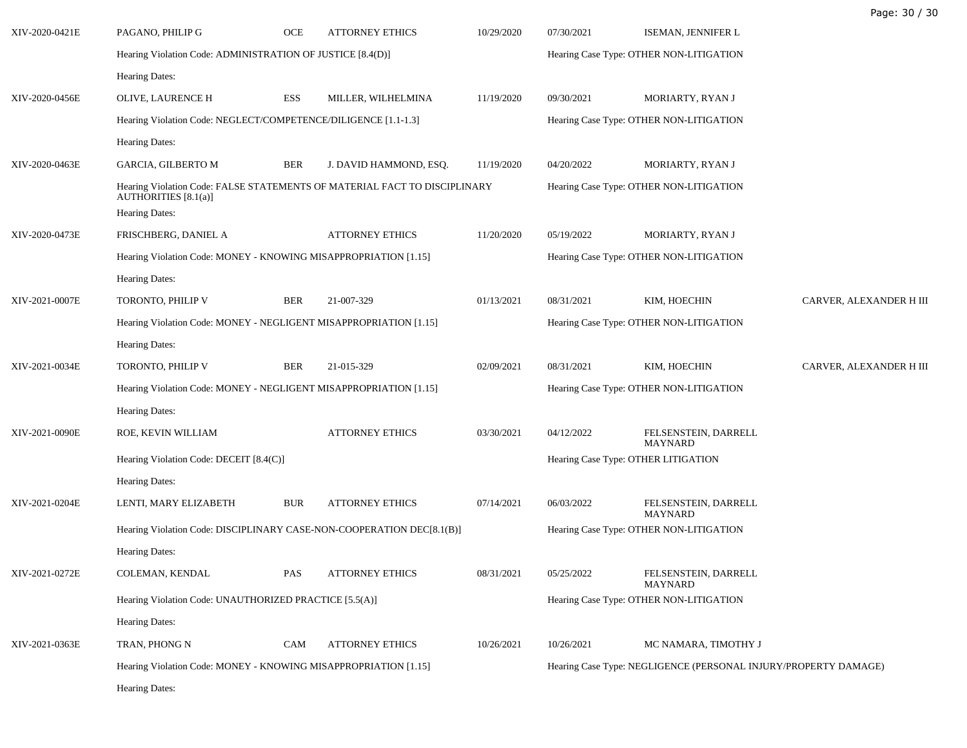| XIV-2020-0421E | PAGANO, PHILIP G                                                                                                           | OCE        | <b>ATTORNEY ETHICS</b> | 10/29/2020                                                      | 07/30/2021                              | ISEMAN, JENNIFER L                     |                         |
|----------------|----------------------------------------------------------------------------------------------------------------------------|------------|------------------------|-----------------------------------------------------------------|-----------------------------------------|----------------------------------------|-------------------------|
|                | Hearing Violation Code: ADMINISTRATION OF JUSTICE [8.4(D)]                                                                 |            |                        | Hearing Case Type: OTHER NON-LITIGATION                         |                                         |                                        |                         |
|                | Hearing Dates:                                                                                                             |            |                        |                                                                 |                                         |                                        |                         |
| XIV-2020-0456E | OLIVE, LAURENCE H                                                                                                          | ESS        | MILLER, WILHELMINA     | 11/19/2020                                                      | 09/30/2021                              | MORIARTY, RYAN J                       |                         |
|                | Hearing Violation Code: NEGLECT/COMPETENCE/DILIGENCE [1.1-1.3]                                                             |            |                        | Hearing Case Type: OTHER NON-LITIGATION                         |                                         |                                        |                         |
|                | Hearing Dates:                                                                                                             |            |                        |                                                                 |                                         |                                        |                         |
| XIV-2020-0463E | GARCIA, GILBERTO M                                                                                                         | <b>BER</b> | J. DAVID HAMMOND, ESQ. | 11/19/2020                                                      | 04/20/2022                              | MORIARTY, RYAN J                       |                         |
|                | Hearing Violation Code: FALSE STATEMENTS OF MATERIAL FACT TO DISCIPLINARY<br><b>AUTHORITIES</b> [8.1(a)]<br>Hearing Dates: |            |                        | Hearing Case Type: OTHER NON-LITIGATION                         |                                         |                                        |                         |
| XIV-2020-0473E | FRISCHBERG, DANIEL A                                                                                                       |            | <b>ATTORNEY ETHICS</b> | 11/20/2020                                                      | 05/19/2022                              | MORIARTY, RYAN J                       |                         |
|                | Hearing Violation Code: MONEY - KNOWING MISAPPROPRIATION [1.15]                                                            |            |                        |                                                                 | Hearing Case Type: OTHER NON-LITIGATION |                                        |                         |
|                | Hearing Dates:                                                                                                             |            |                        |                                                                 |                                         |                                        |                         |
| XIV-2021-0007E | TORONTO, PHILIP V                                                                                                          | BER        | 21-007-329             | 01/13/2021                                                      | 08/31/2021                              | KIM, HOECHIN                           | CARVER, ALEXANDER H III |
|                | Hearing Violation Code: MONEY - NEGLIGENT MISAPPROPRIATION [1.15]                                                          |            |                        |                                                                 | Hearing Case Type: OTHER NON-LITIGATION |                                        |                         |
|                | Hearing Dates:                                                                                                             |            |                        |                                                                 |                                         |                                        |                         |
| XIV-2021-0034E | TORONTO, PHILIP V                                                                                                          | BER        | 21-015-329             | 02/09/2021                                                      | 08/31/2021                              | KIM, HOECHIN                           | CARVER, ALEXANDER H III |
|                | Hearing Violation Code: MONEY - NEGLIGENT MISAPPROPRIATION [1.15]                                                          |            |                        | Hearing Case Type: OTHER NON-LITIGATION                         |                                         |                                        |                         |
|                | Hearing Dates:                                                                                                             |            |                        |                                                                 |                                         |                                        |                         |
| XIV-2021-0090E | ROE, KEVIN WILLIAM                                                                                                         |            | <b>ATTORNEY ETHICS</b> | 03/30/2021                                                      | 04/12/2022                              | FELSENSTEIN, DARRELL<br><b>MAYNARD</b> |                         |
|                | Hearing Violation Code: DECEIT [8.4(C)]                                                                                    |            |                        | Hearing Case Type: OTHER LITIGATION                             |                                         |                                        |                         |
|                | Hearing Dates:                                                                                                             |            |                        |                                                                 |                                         |                                        |                         |
| XIV-2021-0204E | LENTI, MARY ELIZABETH                                                                                                      | <b>BUR</b> | <b>ATTORNEY ETHICS</b> | 07/14/2021                                                      | 06/03/2022                              | FELSENSTEIN, DARRELL<br><b>MAYNARD</b> |                         |
|                | Hearing Violation Code: DISCIPLINARY CASE-NON-COOPERATION DEC[8.1(B)]                                                      |            |                        | Hearing Case Type: OTHER NON-LITIGATION                         |                                         |                                        |                         |
|                | Hearing Dates:                                                                                                             |            |                        |                                                                 |                                         |                                        |                         |
| XIV-2021-0272E | COLEMAN, KENDAL                                                                                                            | PAS        | <b>ATTORNEY ETHICS</b> | 08/31/2021                                                      | 05/25/2022                              | FELSENSTEIN, DARRELL<br>MAYNARD        |                         |
|                | Hearing Violation Code: UNAUTHORIZED PRACTICE [5.5(A)]                                                                     |            |                        | Hearing Case Type: OTHER NON-LITIGATION                         |                                         |                                        |                         |
|                | <b>Hearing Dates:</b>                                                                                                      |            |                        |                                                                 |                                         |                                        |                         |
| XIV-2021-0363E | TRAN, PHONG N                                                                                                              | CAM        | <b>ATTORNEY ETHICS</b> | 10/26/2021                                                      | 10/26/2021                              | MC NAMARA, TIMOTHY J                   |                         |
|                | Hearing Violation Code: MONEY - KNOWING MISAPPROPRIATION [1.15]                                                            |            |                        | Hearing Case Type: NEGLIGENCE (PERSONAL INJURY/PROPERTY DAMAGE) |                                         |                                        |                         |
|                | Hearing Dates:                                                                                                             |            |                        |                                                                 |                                         |                                        |                         |

Page: 30 / 30